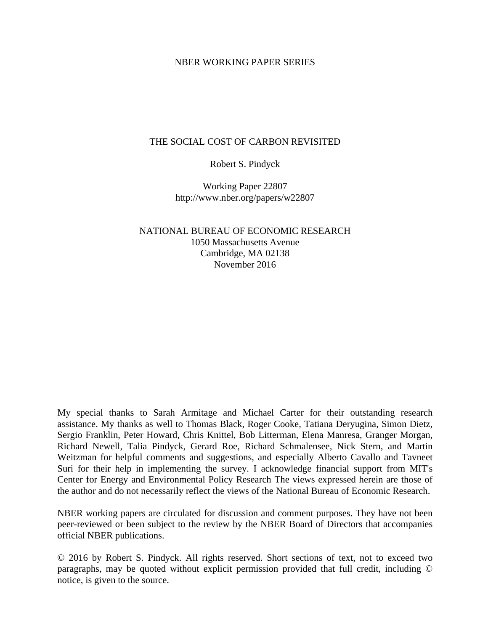### NBER WORKING PAPER SERIES

### THE SOCIAL COST OF CARBON REVISITED

### Robert S. Pindyck

Working Paper 22807 http://www.nber.org/papers/w22807

NATIONAL BUREAU OF ECONOMIC RESEARCH 1050 Massachusetts Avenue Cambridge, MA 02138 November 2016

My special thanks to Sarah Armitage and Michael Carter for their outstanding research assistance. My thanks as well to Thomas Black, Roger Cooke, Tatiana Deryugina, Simon Dietz, Sergio Franklin, Peter Howard, Chris Knittel, Bob Litterman, Elena Manresa, Granger Morgan, Richard Newell, Talia Pindyck, Gerard Roe, Richard Schmalensee, Nick Stern, and Martin Weitzman for helpful comments and suggestions, and especially Alberto Cavallo and Tavneet Suri for their help in implementing the survey. I acknowledge financial support from MIT's Center for Energy and Environmental Policy Research The views expressed herein are those of the author and do not necessarily reflect the views of the National Bureau of Economic Research.

NBER working papers are circulated for discussion and comment purposes. They have not been peer-reviewed or been subject to the review by the NBER Board of Directors that accompanies official NBER publications.

© 2016 by Robert S. Pindyck. All rights reserved. Short sections of text, not to exceed two paragraphs, may be quoted without explicit permission provided that full credit, including © notice, is given to the source.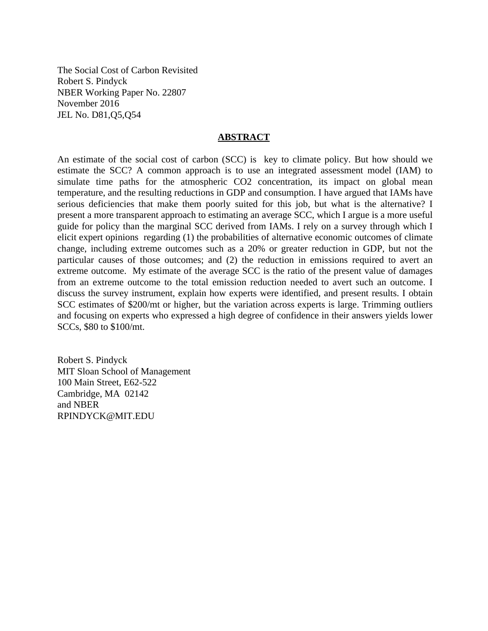The Social Cost of Carbon Revisited Robert S. Pindyck NBER Working Paper No. 22807 November 2016 JEL No. D81,Q5,Q54

#### **ABSTRACT**

An estimate of the social cost of carbon (SCC) is key to climate policy. But how should we estimate the SCC? A common approach is to use an integrated assessment model (IAM) to simulate time paths for the atmospheric CO2 concentration, its impact on global mean temperature, and the resulting reductions in GDP and consumption. I have argued that IAMs have serious deficiencies that make them poorly suited for this job, but what is the alternative? I present a more transparent approach to estimating an average SCC, which I argue is a more useful guide for policy than the marginal SCC derived from IAMs. I rely on a survey through which I elicit expert opinions regarding (1) the probabilities of alternative economic outcomes of climate change, including extreme outcomes such as a 20% or greater reduction in GDP, but not the particular causes of those outcomes; and (2) the reduction in emissions required to avert an extreme outcome. My estimate of the average SCC is the ratio of the present value of damages from an extreme outcome to the total emission reduction needed to avert such an outcome. I discuss the survey instrument, explain how experts were identified, and present results. I obtain SCC estimates of \$200/mt or higher, but the variation across experts is large. Trimming outliers and focusing on experts who expressed a high degree of confidence in their answers yields lower SCCs, \$80 to \$100/mt.

Robert S. Pindyck MIT Sloan School of Management 100 Main Street, E62-522 Cambridge, MA 02142 and NBER RPINDYCK@MIT.EDU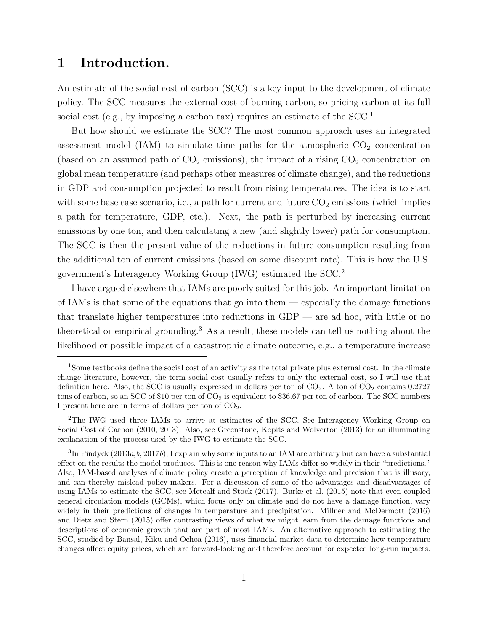# 1 Introduction.

An estimate of the social cost of carbon (SCC) is a key input to the development of climate policy. The SCC measures the external cost of burning carbon, so pricing carbon at its full social cost (e.g., by imposing a carbon tax) requires an estimate of the SCC.<sup>1</sup>

But how should we estimate the SCC? The most common approach uses an integrated assessment model (IAM) to simulate time paths for the atmospheric  $CO<sub>2</sub>$  concentration (based on an assumed path of  $CO<sub>2</sub>$  emissions), the impact of a rising  $CO<sub>2</sub>$  concentration on global mean temperature (and perhaps other measures of climate change), and the reductions in GDP and consumption projected to result from rising temperatures. The idea is to start with some base case scenario, i.e., a path for current and future  $CO<sub>2</sub>$  emissions (which implies a path for temperature, GDP, etc.). Next, the path is perturbed by increasing current emissions by one ton, and then calculating a new (and slightly lower) path for consumption. The SCC is then the present value of the reductions in future consumption resulting from the additional ton of current emissions (based on some discount rate). This is how the U.S. government's Interagency Working Group (IWG) estimated the SCC.<sup>2</sup>

I have argued elsewhere that IAMs are poorly suited for this job. An important limitation of IAMs is that some of the equations that go into them — especially the damage functions that translate higher temperatures into reductions in  $GDP$  — are ad hoc, with little or no theoretical or empirical grounding.<sup>3</sup> As a result, these models can tell us nothing about the likelihood or possible impact of a catastrophic climate outcome, e.g., a temperature increase

<sup>1</sup>Some textbooks define the social cost of an activity as the total private plus external cost. In the climate change literature, however, the term social cost usually refers to only the external cost, so I will use that definition here. Also, the SCC is usually expressed in dollars per ton of  $CO<sub>2</sub>$ . A ton of  $CO<sub>2</sub>$  contains 0.2727 tons of carbon, so an SCC of \$10 per ton of  $CO<sub>2</sub>$  is equivalent to \$36.67 per ton of carbon. The SCC numbers I present here are in terms of dollars per ton of  $CO<sub>2</sub>$ .

<sup>2</sup>The IWG used three IAMs to arrive at estimates of the SCC. See Interagency Working Group on Social Cost of Carbon (2010, 2013). Also, see Greenstone, Kopits and Wolverton (2013) for an illuminating explanation of the process used by the IWG to estimate the SCC.

 ${}^{3}\text{In}$  Pindyck (2013a, b, 2017b), I explain why some inputs to an IAM are arbitrary but can have a substantial effect on the results the model produces. This is one reason why IAMs differ so widely in their "predictions." Also, IAM-based analyses of climate policy create a perception of knowledge and precision that is illusory, and can thereby mislead policy-makers. For a discussion of some of the advantages and disadvantages of using IAMs to estimate the SCC, see Metcalf and Stock (2017). Burke et al. (2015) note that even coupled general circulation models (GCMs), which focus only on climate and do not have a damage function, vary widely in their predictions of changes in temperature and precipitation. Millner and McDermott (2016) and Dietz and Stern (2015) offer contrasting views of what we might learn from the damage functions and descriptions of economic growth that are part of most IAMs. An alternative approach to estimating the SCC, studied by Bansal, Kiku and Ochoa (2016), uses financial market data to determine how temperature changes affect equity prices, which are forward-looking and therefore account for expected long-run impacts.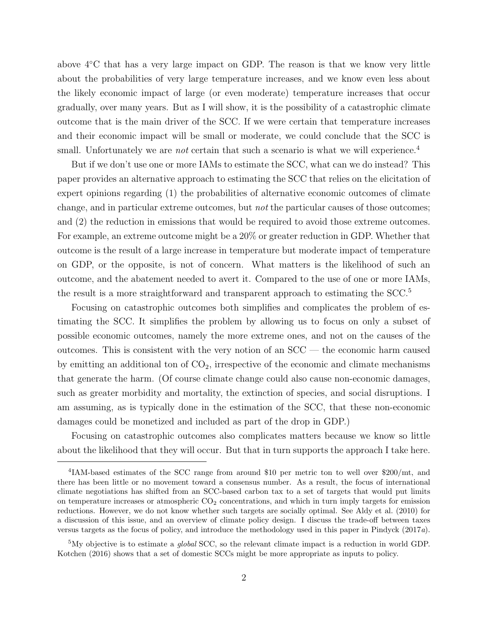above 4◦C that has a very large impact on GDP. The reason is that we know very little about the probabilities of very large temperature increases, and we know even less about the likely economic impact of large (or even moderate) temperature increases that occur gradually, over many years. But as I will show, it is the possibility of a catastrophic climate outcome that is the main driver of the SCC. If we were certain that temperature increases and their economic impact will be small or moderate, we could conclude that the SCC is small. Unfortunately we are *not* certain that such a scenario is what we will experience.<sup>4</sup>

But if we don't use one or more IAMs to estimate the SCC, what can we do instead? This paper provides an alternative approach to estimating the SCC that relies on the elicitation of expert opinions regarding (1) the probabilities of alternative economic outcomes of climate change, and in particular extreme outcomes, but not the particular causes of those outcomes; and (2) the reduction in emissions that would be required to avoid those extreme outcomes. For example, an extreme outcome might be a 20% or greater reduction in GDP. Whether that outcome is the result of a large increase in temperature but moderate impact of temperature on GDP, or the opposite, is not of concern. What matters is the likelihood of such an outcome, and the abatement needed to avert it. Compared to the use of one or more IAMs, the result is a more straightforward and transparent approach to estimating the SCC.<sup>5</sup>

Focusing on catastrophic outcomes both simplifies and complicates the problem of estimating the SCC. It simplifies the problem by allowing us to focus on only a subset of possible economic outcomes, namely the more extreme ones, and not on the causes of the outcomes. This is consistent with the very notion of an SCC — the economic harm caused by emitting an additional ton of  $CO<sub>2</sub>$ , irrespective of the economic and climate mechanisms that generate the harm. (Of course climate change could also cause non-economic damages, such as greater morbidity and mortality, the extinction of species, and social disruptions. I am assuming, as is typically done in the estimation of the SCC, that these non-economic damages could be monetized and included as part of the drop in GDP.)

Focusing on catastrophic outcomes also complicates matters because we know so little about the likelihood that they will occur. But that in turn supports the approach I take here.

<sup>&</sup>lt;sup>4</sup>IAM-based estimates of the SCC range from around \$10 per metric ton to well over \$200/mt, and there has been little or no movement toward a consensus number. As a result, the focus of international climate negotiations has shifted from an SCC-based carbon tax to a set of targets that would put limits on temperature increases or atmospheric  $CO<sub>2</sub>$  concentrations, and which in turn imply targets for emission reductions. However, we do not know whether such targets are socially optimal. See Aldy et al. (2010) for a discussion of this issue, and an overview of climate policy design. I discuss the trade-off between taxes versus targets as the focus of policy, and introduce the methodology used in this paper in Pindyck (2017a).

<sup>&</sup>lt;sup>5</sup>My objective is to estimate a *global* SCC, so the relevant climate impact is a reduction in world GDP. Kotchen (2016) shows that a set of domestic SCCs might be more appropriate as inputs to policy.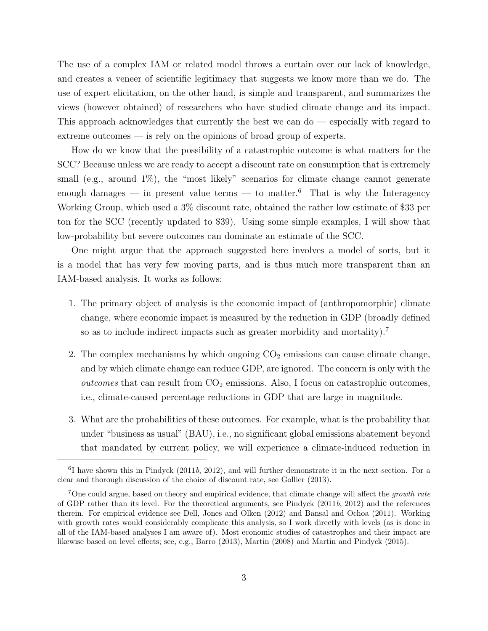The use of a complex IAM or related model throws a curtain over our lack of knowledge, and creates a veneer of scientific legitimacy that suggests we know more than we do. The use of expert elicitation, on the other hand, is simple and transparent, and summarizes the views (however obtained) of researchers who have studied climate change and its impact. This approach acknowledges that currently the best we can do — especially with regard to extreme outcomes — is rely on the opinions of broad group of experts.

How do we know that the possibility of a catastrophic outcome is what matters for the SCC? Because unless we are ready to accept a discount rate on consumption that is extremely small (e.g., around  $1\%$ ), the "most likely" scenarios for climate change cannot generate enough damages — in present value terms — to matter.<sup>6</sup> That is why the Interagency Working Group, which used a 3% discount rate, obtained the rather low estimate of \$33 per ton for the SCC (recently updated to \$39). Using some simple examples, I will show that low-probability but severe outcomes can dominate an estimate of the SCC.

One might argue that the approach suggested here involves a model of sorts, but it is a model that has very few moving parts, and is thus much more transparent than an IAM-based analysis. It works as follows:

- 1. The primary object of analysis is the economic impact of (anthropomorphic) climate change, where economic impact is measured by the reduction in GDP (broadly defined so as to include indirect impacts such as greater morbidity and mortality).<sup>7</sup>
- 2. The complex mechanisms by which ongoing  $CO<sub>2</sub>$  emissions can cause climate change, and by which climate change can reduce GDP, are ignored. The concern is only with the *outcomes* that can result from  $CO<sub>2</sub>$  emissions. Also, I focus on catastrophic outcomes, i.e., climate-caused percentage reductions in GDP that are large in magnitude.
- 3. What are the probabilities of these outcomes. For example, what is the probability that under "business as usual" (BAU), i.e., no significant global emissions abatement beyond that mandated by current policy, we will experience a climate-induced reduction in

<sup>&</sup>lt;sup>6</sup>I have shown this in Pindyck (2011b, 2012), and will further demonstrate it in the next section. For a clear and thorough discussion of the choice of discount rate, see Gollier (2013).

<sup>&</sup>lt;sup>7</sup>One could argue, based on theory and empirical evidence, that climate change will affect the *growth rate* of GDP rather than its level. For the theoretical arguments, see Pindyck (2011b, 2012) and the references therein. For empirical evidence see Dell, Jones and Olken (2012) and Bansal and Ochoa (2011). Working with growth rates would considerably complicate this analysis, so I work directly with levels (as is done in all of the IAM-based analyses I am aware of). Most economic studies of catastrophes and their impact are likewise based on level effects; see, e.g., Barro (2013), Martin (2008) and Martin and Pindyck (2015).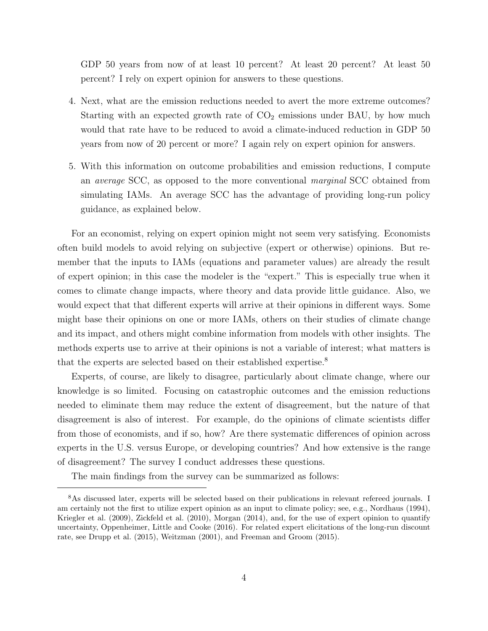GDP 50 years from now of at least 10 percent? At least 20 percent? At least 50 percent? I rely on expert opinion for answers to these questions.

- 4. Next, what are the emission reductions needed to avert the more extreme outcomes? Starting with an expected growth rate of  $CO<sub>2</sub>$  emissions under BAU, by how much would that rate have to be reduced to avoid a climate-induced reduction in GDP 50 years from now of 20 percent or more? I again rely on expert opinion for answers.
- 5. With this information on outcome probabilities and emission reductions, I compute an average SCC, as opposed to the more conventional marginal SCC obtained from simulating IAMs. An average SCC has the advantage of providing long-run policy guidance, as explained below.

For an economist, relying on expert opinion might not seem very satisfying. Economists often build models to avoid relying on subjective (expert or otherwise) opinions. But remember that the inputs to IAMs (equations and parameter values) are already the result of expert opinion; in this case the modeler is the "expert." This is especially true when it comes to climate change impacts, where theory and data provide little guidance. Also, we would expect that that different experts will arrive at their opinions in different ways. Some might base their opinions on one or more IAMs, others on their studies of climate change and its impact, and others might combine information from models with other insights. The methods experts use to arrive at their opinions is not a variable of interest; what matters is that the experts are selected based on their established expertise.<sup>8</sup>

Experts, of course, are likely to disagree, particularly about climate change, where our knowledge is so limited. Focusing on catastrophic outcomes and the emission reductions needed to eliminate them may reduce the extent of disagreement, but the nature of that disagreement is also of interest. For example, do the opinions of climate scientists differ from those of economists, and if so, how? Are there systematic differences of opinion across experts in the U.S. versus Europe, or developing countries? And how extensive is the range of disagreement? The survey I conduct addresses these questions.

The main findings from the survey can be summarized as follows:

<sup>8</sup>As discussed later, experts will be selected based on their publications in relevant refereed journals. I am certainly not the first to utilize expert opinion as an input to climate policy; see, e.g., Nordhaus (1994), Kriegler et al. (2009), Zickfeld et al. (2010), Morgan (2014), and, for the use of expert opinion to quantify uncertainty, Oppenheimer, Little and Cooke (2016). For related expert elicitations of the long-run discount rate, see Drupp et al. (2015), Weitzman (2001), and Freeman and Groom (2015).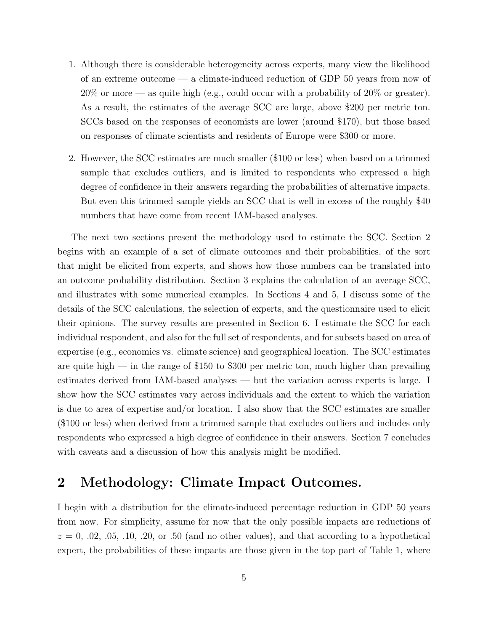- 1. Although there is considerable heterogeneity across experts, many view the likelihood of an extreme outcome — a climate-induced reduction of GDP 50 years from now of 20% or more — as quite high (e.g., could occur with a probability of 20% or greater). As a result, the estimates of the average SCC are large, above \$200 per metric ton. SCCs based on the responses of economists are lower (around \$170), but those based on responses of climate scientists and residents of Europe were \$300 or more.
- 2. However, the SCC estimates are much smaller (\$100 or less) when based on a trimmed sample that excludes outliers, and is limited to respondents who expressed a high degree of confidence in their answers regarding the probabilities of alternative impacts. But even this trimmed sample yields an SCC that is well in excess of the roughly \$40 numbers that have come from recent IAM-based analyses.

The next two sections present the methodology used to estimate the SCC. Section 2 begins with an example of a set of climate outcomes and their probabilities, of the sort that might be elicited from experts, and shows how those numbers can be translated into an outcome probability distribution. Section 3 explains the calculation of an average SCC, and illustrates with some numerical examples. In Sections 4 and 5, I discuss some of the details of the SCC calculations, the selection of experts, and the questionnaire used to elicit their opinions. The survey results are presented in Section 6. I estimate the SCC for each individual respondent, and also for the full set of respondents, and for subsets based on area of expertise (e.g., economics vs. climate science) and geographical location. The SCC estimates are quite high  $-$  in the range of \$150 to \$300 per metric ton, much higher than prevailing estimates derived from IAM-based analyses — but the variation across experts is large. I show how the SCC estimates vary across individuals and the extent to which the variation is due to area of expertise and/or location. I also show that the SCC estimates are smaller (\$100 or less) when derived from a trimmed sample that excludes outliers and includes only respondents who expressed a high degree of confidence in their answers. Section 7 concludes with caveats and a discussion of how this analysis might be modified.

# 2 Methodology: Climate Impact Outcomes.

I begin with a distribution for the climate-induced percentage reduction in GDP 50 years from now. For simplicity, assume for now that the only possible impacts are reductions of  $z = 0, .02, .05, .10, .20, \text{or } .50$  (and no other values), and that according to a hypothetical expert, the probabilities of these impacts are those given in the top part of Table 1, where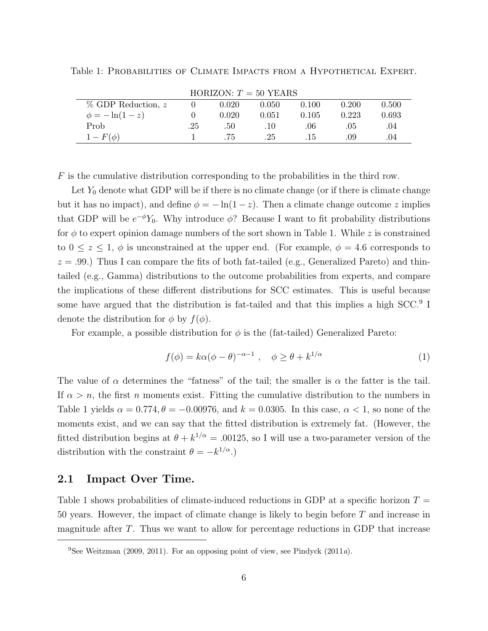|  |  |  | Table 1: PROBABILITIES OF CLIMATE IMPACTS FROM A HYPOTHETICAL EXPERT. |  |
|--|--|--|-----------------------------------------------------------------------|--|
|  |  |  |                                                                       |  |

|                         | $HURLOUN: I = 50 I LAR5$ |       |         |       |       |       |  |  |
|-------------------------|--------------------------|-------|---------|-------|-------|-------|--|--|
| $\%$ GDP Reduction, $z$ |                          | 0.020 | 0.050   | 0.100 | 0.200 | 0.500 |  |  |
| $\phi = -\ln(1-z)$      |                          | 0.020 | 0.051   | 0.105 | 0.223 | 0.693 |  |  |
| Prob                    | .25                      | .50   | $.10 -$ | .06   | .05   | .04   |  |  |
| $1-F(\phi)$             |                          | .75   | 25      | .15   | .09   | .04   |  |  |

 $HODIBON$   $\pi$  = 50 YEARS

 $F$  is the cumulative distribution corresponding to the probabilities in the third row.

Let  $Y_0$  denote what GDP will be if there is no climate change (or if there is climate change but it has no impact), and define  $\phi = -\ln(1-z)$ . Then a climate change outcome z implies that GDP will be  $e^{-\phi}Y_0$ . Why introduce  $\phi$ ? Because I want to fit probability distributions for  $\phi$  to expert opinion damage numbers of the sort shown in Table 1. While z is constrained to  $0 \le z \le 1$ ,  $\phi$  is unconstrained at the upper end. (For example,  $\phi = 4.6$  corresponds to  $z = .99$ .) Thus I can compare the fits of both fat-tailed (e.g., Generalized Pareto) and thintailed (e.g., Gamma) distributions to the outcome probabilities from experts, and compare the implications of these different distributions for SCC estimates. This is useful because some have argued that the distribution is fat-tailed and that this implies a high SCC.<sup>9</sup> I denote the distribution for  $\phi$  by  $f(\phi)$ .

For example, a possible distribution for  $\phi$  is the (fat-tailed) Generalized Pareto:

$$
f(\phi) = k\alpha(\phi - \theta)^{-\alpha - 1}, \quad \phi \ge \theta + k^{1/\alpha} \tag{1}
$$

The value of  $\alpha$  determines the "fatness" of the tail; the smaller is  $\alpha$  the fatter is the tail. If  $\alpha > n$ , the first n moments exist. Fitting the cumulative distribution to the numbers in Table 1 yields  $\alpha = 0.774$ ,  $\theta = -0.00976$ , and  $k = 0.0305$ . In this case,  $\alpha < 1$ , so none of the moments exist, and we can say that the fitted distribution is extremely fat. (However, the fitted distribution begins at  $\theta + k^{1/\alpha} = .00125$ , so I will use a two-parameter version of the distribution with the constraint  $\theta = -k^{1/\alpha}$ .

## 2.1 Impact Over Time.

Table 1 shows probabilities of climate-induced reductions in GDP at a specific horizon  $T =$ 50 years. However, the impact of climate change is likely to begin before T and increase in magnitude after T. Thus we want to allow for percentage reductions in GDP that increase

<sup>&</sup>lt;sup>9</sup>See Weitzman (2009, 2011). For an opposing point of view, see Pindyck (2011a).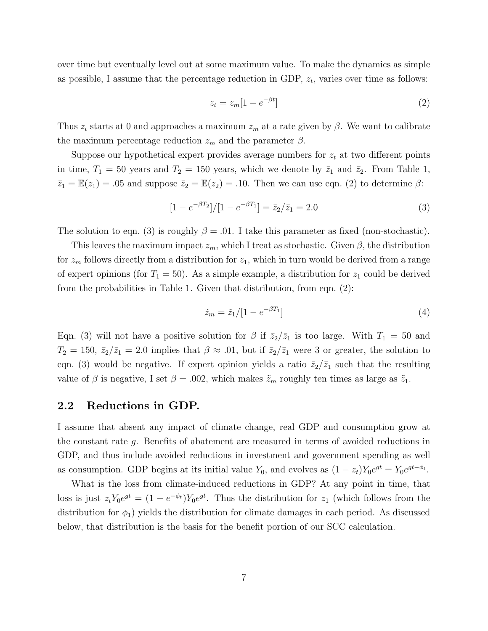over time but eventually level out at some maximum value. To make the dynamics as simple as possible, I assume that the percentage reduction in GDP,  $z_t$ , varies over time as follows:

$$
z_t = z_m [1 - e^{-\beta t}] \tag{2}
$$

Thus  $z_t$  starts at 0 and approaches a maximum  $z_m$  at a rate given by  $\beta$ . We want to calibrate the maximum percentage reduction  $z_m$  and the parameter  $\beta$ .

Suppose our hypothetical expert provides average numbers for  $z_t$  at two different points in time,  $T_1 = 50$  years and  $T_2 = 150$  years, which we denote by  $\bar{z}_1$  and  $\bar{z}_2$ . From Table 1,  $\bar{z}_1 = \mathbb{E}(z_1) = .05$  and suppose  $\bar{z}_2 = \mathbb{E}(z_2) = .10$ . Then we can use eqn. (2) to determine  $\beta$ :

$$
[1 - e^{-\beta T_2}]/[1 - e^{-\beta T_1}] = \bar{z}_2/\bar{z}_1 = 2.0
$$
\n(3)

The solution to eqn. (3) is roughly  $\beta = .01$ . I take this parameter as fixed (non-stochastic).

This leaves the maximum impact  $z_m$ , which I treat as stochastic. Given  $\beta$ , the distribution for  $z_m$  follows directly from a distribution for  $z_1$ , which in turn would be derived from a range of expert opinions (for  $T_1 = 50$ ). As a simple example, a distribution for  $z_1$  could be derived from the probabilities in Table 1. Given that distribution, from eqn. (2):

$$
\tilde{z}_m = \tilde{z}_1/[1 - e^{-\beta T_1}] \tag{4}
$$

Eqn. (3) will not have a positive solution for  $\beta$  if  $\bar{z}_2/\bar{z}_1$  is too large. With  $T_1 = 50$  and  $T_2 = 150$ ,  $\bar{z}_2/\bar{z}_1 = 2.0$  implies that  $\beta \approx .01$ , but if  $\bar{z}_2/\bar{z}_1$  were 3 or greater, the solution to eqn. (3) would be negative. If expert opinion yields a ratio  $\bar{z}_2/\bar{z}_1$  such that the resulting value of  $\beta$  is negative, I set  $\beta = .002$ , which makes  $\tilde{z}_m$  roughly ten times as large as  $\tilde{z}_1$ .

### 2.2 Reductions in GDP.

I assume that absent any impact of climate change, real GDP and consumption grow at the constant rate  $q$ . Benefits of abatement are measured in terms of avoided reductions in GDP, and thus include avoided reductions in investment and government spending as well as consumption. GDP begins at its initial value  $Y_0$ , and evolves as  $(1 - z_t)Y_0e^{gt} = Y_0e^{gt-\phi_t}$ .

What is the loss from climate-induced reductions in GDP? At any point in time, that loss is just  $z_t Y_0 e^{gt} = (1 - e^{-\phi_t}) Y_0 e^{gt}$ . Thus the distribution for  $z_1$  (which follows from the distribution for  $\phi_1$ ) yields the distribution for climate damages in each period. As discussed below, that distribution is the basis for the benefit portion of our SCC calculation.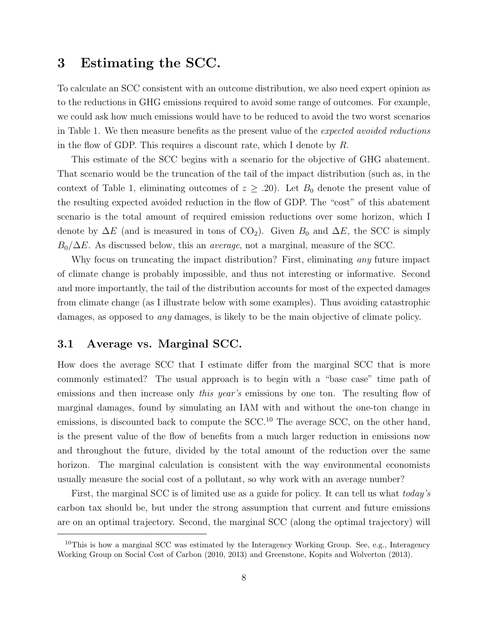## 3 Estimating the SCC.

To calculate an SCC consistent with an outcome distribution, we also need expert opinion as to the reductions in GHG emissions required to avoid some range of outcomes. For example, we could ask how much emissions would have to be reduced to avoid the two worst scenarios in Table 1. We then measure benefits as the present value of the expected avoided reductions in the flow of GDP. This requires a discount rate, which I denote by R.

This estimate of the SCC begins with a scenario for the objective of GHG abatement. That scenario would be the truncation of the tail of the impact distribution (such as, in the context of Table 1, eliminating outcomes of  $z \geq .20$ ). Let  $B_0$  denote the present value of the resulting expected avoided reduction in the flow of GDP. The "cost" of this abatement scenario is the total amount of required emission reductions over some horizon, which I denote by  $\Delta E$  (and is measured in tons of CO<sub>2</sub>). Given  $B_0$  and  $\Delta E$ , the SCC is simply  $B_0/\Delta E$ . As discussed below, this an *average*, not a marginal, measure of the SCC.

Why focus on truncating the impact distribution? First, eliminating *any* future impact of climate change is probably impossible, and thus not interesting or informative. Second and more importantly, the tail of the distribution accounts for most of the expected damages from climate change (as I illustrate below with some examples). Thus avoiding catastrophic damages, as opposed to any damages, is likely to be the main objective of climate policy.

## 3.1 Average vs. Marginal SCC.

How does the average SCC that I estimate differ from the marginal SCC that is more commonly estimated? The usual approach is to begin with a "base case" time path of emissions and then increase only *this year's* emissions by one ton. The resulting flow of marginal damages, found by simulating an IAM with and without the one-ton change in emissions, is discounted back to compute the  $SCC<sup>10</sup>$  The average SCC, on the other hand, is the present value of the flow of benefits from a much larger reduction in emissions now and throughout the future, divided by the total amount of the reduction over the same horizon. The marginal calculation is consistent with the way environmental economists usually measure the social cost of a pollutant, so why work with an average number?

First, the marginal SCC is of limited use as a guide for policy. It can tell us what *today's* carbon tax should be, but under the strong assumption that current and future emissions are on an optimal trajectory. Second, the marginal SCC (along the optimal trajectory) will

 $10$ This is how a marginal SCC was estimated by the Interagency Working Group. See, e.g., Interagency Working Group on Social Cost of Carbon (2010, 2013) and Greenstone, Kopits and Wolverton (2013).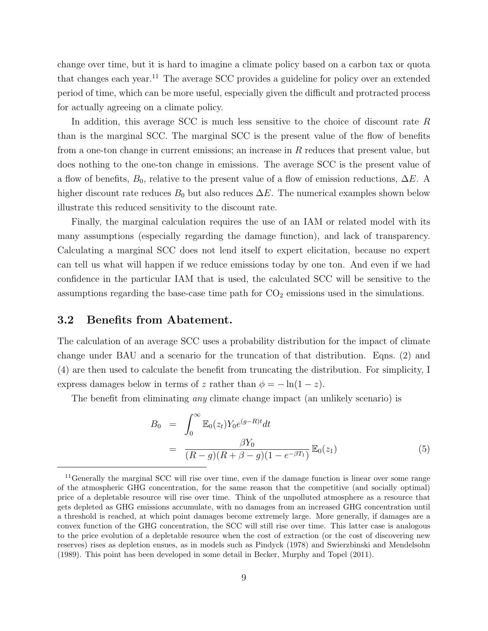change over time, but it is hard to imagine a climate policy based on a carbon tax or quota that changes each year.<sup>11</sup> The average SCC provides a guideline for policy over an extended period of time, which can be more useful, especially given the difficult and protracted process for actually agreeing on a climate policy.

In addition, this average SCC is much less sensitive to the choice of discount rate R than is the marginal SCC. The marginal SCC is the present value of the flow of benefits from a one-ton change in current emissions; an increase in R reduces that present value, but does nothing to the one-ton change in emissions. The average SCC is the present value of a flow of benefits,  $B_0$ , relative to the present value of a flow of emission reductions,  $\Delta E$ . A higher discount rate reduces  $B_0$  but also reduces  $\Delta E$ . The numerical examples shown below illustrate this reduced sensitivity to the discount rate.

Finally, the marginal calculation requires the use of an IAM or related model with its many assumptions (especially regarding the damage function), and lack of transparency. Calculating a marginal SCC does not lend itself to expert elicitation, because no expert can tell us what will happen if we reduce emissions today by one ton. And even if we had confidence in the particular IAM that is used, the calculated SCC will be sensitive to the assumptions regarding the base-case time path for  $CO<sub>2</sub>$  emissions used in the simulations.

### 3.2 Benefits from Abatement.

The calculation of an average SCC uses a probability distribution for the impact of climate change under BAU and a scenario for the truncation of that distribution. Eqns. (2) and (4) are then used to calculate the benefit from truncating the distribution. For simplicity, I express damages below in terms of z rather than  $\phi = -\ln(1-z)$ .

The benefit from eliminating *any* climate change impact (an unlikely scenario) is

$$
B_0 = \int_0^\infty \mathbb{E}_0(z_t) Y_0 e^{(g-R)t} dt
$$
  
= 
$$
\frac{\beta Y_0}{(R-g)(R+\beta-g)(1-e^{-\beta T_1})} \mathbb{E}_0(z_1)
$$
 (5)

<sup>&</sup>lt;sup>11</sup>Generally the marginal SCC will rise over time, even if the damage function is linear over some range of the atmospheric GHG concentration, for the same reason that the competitive (and socially optimal) price of a depletable resource will rise over time. Think of the unpolluted atmosphere as a resource that gets depleted as GHG emissions accumulate, with no damages from an increased GHG concentration until a threshold is reached, at which point damages become extremely large. More generally, if damages are a convex function of the GHG concentration, the SCC will still rise over time. This latter case is analogous to the price evolution of a depletable resource when the cost of extraction (or the cost of discovering new reserves) rises as depletion ensues, as in models such as Pindyck (1978) and Swierzbinski and Mendelsohn (1989). This point has been developed in some detail in Becker, Murphy and Topel (2011).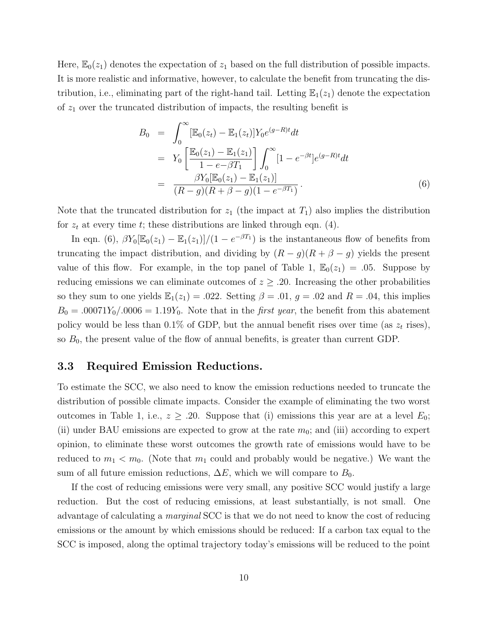Here,  $\mathbb{E}_0(z_1)$  denotes the expectation of  $z_1$  based on the full distribution of possible impacts. It is more realistic and informative, however, to calculate the benefit from truncating the distribution, i.e., eliminating part of the right-hand tail. Letting  $\mathbb{E}_1(z_1)$  denote the expectation of  $z_1$  over the truncated distribution of impacts, the resulting benefit is

$$
B_0 = \int_0^\infty [\mathbb{E}_0(z_t) - \mathbb{E}_1(z_t)] Y_0 e^{(g-R)t} dt
$$
  
\n
$$
= Y_0 \left[ \frac{\mathbb{E}_0(z_1) - \mathbb{E}_1(z_1)}{1 - e^{-\beta T_1}} \right] \int_0^\infty [1 - e^{-\beta t}] e^{(g-R)t} dt
$$
  
\n
$$
= \frac{\beta Y_0 [\mathbb{E}_0(z_1) - \mathbb{E}_1(z_1)]}{(R - g)(R + \beta - g)(1 - e^{-\beta T_1})}.
$$
 (6)

Note that the truncated distribution for  $z_1$  (the impact at  $T_1$ ) also implies the distribution for  $z_t$  at every time t; these distributions are linked through eqn. (4).

In eqn. (6),  $\beta Y_0[\mathbb{E}_0(z_1) - \mathbb{E}_1(z_1)]/(1 - e^{-\beta T_1})$  is the instantaneous flow of benefits from truncating the impact distribution, and dividing by  $(R - g)(R + \beta - g)$  yields the present value of this flow. For example, in the top panel of Table 1,  $\mathbb{E}_0(z_1) = .05$ . Suppose by reducing emissions we can eliminate outcomes of  $z \geq .20$ . Increasing the other probabilities so they sum to one yields  $\mathbb{E}_1(z_1) = .022$ . Setting  $\beta = .01$ ,  $g = .02$  and  $R = .04$ , this implies  $B_0 = .00071Y_0/.0006 = 1.19Y_0.$  Note that in the *first year*, the benefit from this abatement policy would be less than 0.1% of GDP, but the annual benefit rises over time (as  $z_t$  rises), so  $B_0$ , the present value of the flow of annual benefits, is greater than current GDP.

#### 3.3 Required Emission Reductions.

To estimate the SCC, we also need to know the emission reductions needed to truncate the distribution of possible climate impacts. Consider the example of eliminating the two worst outcomes in Table 1, i.e.,  $z \geq 0.20$ . Suppose that (i) emissions this year are at a level  $E_0$ ; (ii) under BAU emissions are expected to grow at the rate  $m_0$ ; and (iii) according to expert opinion, to eliminate these worst outcomes the growth rate of emissions would have to be reduced to  $m_1 < m_0$ . (Note that  $m_1$  could and probably would be negative.) We want the sum of all future emission reductions,  $\Delta E$ , which we will compare to  $B_0$ .

If the cost of reducing emissions were very small, any positive SCC would justify a large reduction. But the cost of reducing emissions, at least substantially, is not small. One advantage of calculating a marginal SCC is that we do not need to know the cost of reducing emissions or the amount by which emissions should be reduced: If a carbon tax equal to the SCC is imposed, along the optimal trajectory today's emissions will be reduced to the point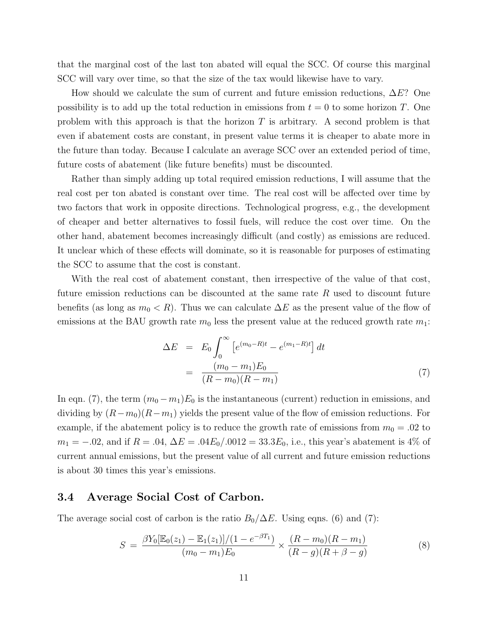that the marginal cost of the last ton abated will equal the SCC. Of course this marginal SCC will vary over time, so that the size of the tax would likewise have to vary.

How should we calculate the sum of current and future emission reductions,  $\Delta E$ ? One possibility is to add up the total reduction in emissions from  $t = 0$  to some horizon T. One problem with this approach is that the horizon  $T$  is arbitrary. A second problem is that even if abatement costs are constant, in present value terms it is cheaper to abate more in the future than today. Because I calculate an average SCC over an extended period of time, future costs of abatement (like future benefits) must be discounted.

Rather than simply adding up total required emission reductions, I will assume that the real cost per ton abated is constant over time. The real cost will be affected over time by two factors that work in opposite directions. Technological progress, e.g., the development of cheaper and better alternatives to fossil fuels, will reduce the cost over time. On the other hand, abatement becomes increasingly difficult (and costly) as emissions are reduced. It unclear which of these effects will dominate, so it is reasonable for purposes of estimating the SCC to assume that the cost is constant.

With the real cost of abatement constant, then irrespective of the value of that cost, future emission reductions can be discounted at the same rate  $R$  used to discount future benefits (as long as  $m_0 < R$ ). Thus we can calculate  $\Delta E$  as the present value of the flow of emissions at the BAU growth rate  $m_0$  less the present value at the reduced growth rate  $m_1$ :

$$
\Delta E = E_0 \int_0^\infty \left[ e^{(m_0 - R)t} - e^{(m_1 - R)t} \right] dt
$$
  
= 
$$
\frac{(m_0 - m_1)E_0}{(R - m_0)(R - m_1)}
$$
 (7)

In eqn. (7), the term  $(m_0 - m_1)E_0$  is the instantaneous (current) reduction in emissions, and dividing by  $(R-m_0)(R-m_1)$  yields the present value of the flow of emission reductions. For example, if the abatement policy is to reduce the growth rate of emissions from  $m_0 = .02$  to  $m_1 = -.02$ , and if  $R = .04$ ,  $\Delta E = .04E_0/.0012 = 33.3E_0$ , i.e., this year's abatement is 4% of current annual emissions, but the present value of all current and future emission reductions is about 30 times this year's emissions.

## 3.4 Average Social Cost of Carbon.

The average social cost of carbon is the ratio  $B_0/\Delta E$ . Using eqns. (6) and (7):

$$
S = \frac{\beta Y_0 [\mathbb{E}_0(z_1) - \mathbb{E}_1(z_1)] / (1 - e^{-\beta T_1})}{(m_0 - m_1) E_0} \times \frac{(R - m_0)(R - m_1)}{(R - g)(R + \beta - g)}
$$
(8)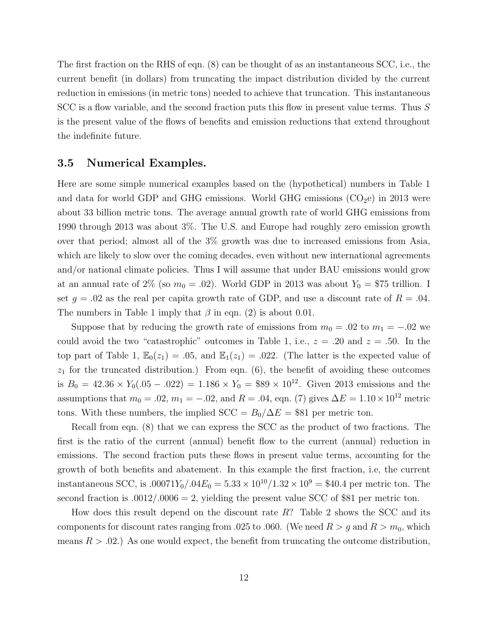The first fraction on the RHS of eqn. (8) can be thought of as an instantaneous SCC, i.e., the current benefit (in dollars) from truncating the impact distribution divided by the current reduction in emissions (in metric tons) needed to achieve that truncation. This instantaneous SCC is a flow variable, and the second fraction puts this flow in present value terms. Thus S is the present value of the flows of benefits and emission reductions that extend throughout the indefinite future.

## 3.5 Numerical Examples.

Here are some simple numerical examples based on the (hypothetical) numbers in Table 1 and data for world GDP and GHG emissions. World GHG emissions  $(CO<sub>2</sub>e)$  in 2013 were about 33 billion metric tons. The average annual growth rate of world GHG emissions from 1990 through 2013 was about 3%. The U.S. and Europe had roughly zero emission growth over that period; almost all of the 3% growth was due to increased emissions from Asia, which are likely to slow over the coming decades, even without new international agreements and/or national climate policies. Thus I will assume that under BAU emissions would grow at an annual rate of 2% (so  $m_0 = .02$ ). World GDP in 2013 was about  $Y_0 = $75$  trillion. I set  $q = .02$  as the real per capita growth rate of GDP, and use a discount rate of  $R = .04$ . The numbers in Table 1 imply that  $\beta$  in eqn. (2) is about 0.01.

Suppose that by reducing the growth rate of emissions from  $m_0 = .02$  to  $m_1 = -.02$  we could avoid the two "catastrophic" outcomes in Table 1, i.e.,  $z = .20$  and  $z = .50$ . In the top part of Table 1,  $\mathbb{E}_0(z_1) = .05$ , and  $\mathbb{E}_1(z_1) = .022$ . (The latter is the expected value of  $z_1$  for the truncated distribution.) From eqn. (6), the benefit of avoiding these outcomes is  $B_0 = 42.36 \times Y_0(.05-.022) = 1.186 \times Y_0 = $89 \times 10^{12}$ . Given 2013 emissions and the assumptions that  $m_0 = .02$ ,  $m_1 = -.02$ , and  $R = .04$ , eqn. (7) gives  $\Delta E = 1.10 \times 10^{12}$  metric tons. With these numbers, the implied  $SCC = B_0/\Delta E = $81$  per metric ton.

Recall from eqn. (8) that we can express the SCC as the product of two fractions. The first is the ratio of the current (annual) benefit flow to the current (annual) reduction in emissions. The second fraction puts these flows in present value terms, accounting for the growth of both benefits and abatement. In this example the first fraction, i.e, the current instantaneous SCC, is  $.00071Y_0/.04E_0 = 5.33 \times 10^{10}/1.32 \times 10^9 = $40.4$  per metric ton. The second fraction is  $.0012/.0006 = 2$ , yielding the present value SCC of \$81 per metric ton.

How does this result depend on the discount rate  $R$ ? Table 2 shows the SCC and its components for discount rates ranging from .025 to .060. (We need  $R > g$  and  $R > m_0$ , which means  $R > .02$ .) As one would expect, the benefit from truncating the outcome distribution,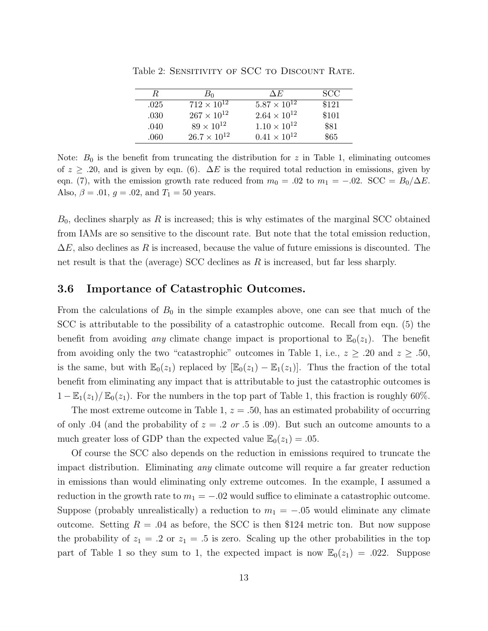| R.   | B٥                    | ΑE                    | SCC.  |
|------|-----------------------|-----------------------|-------|
| .025 | $712 \times 10^{12}$  | $5.87 \times 10^{12}$ | \$121 |
| .030 | $267 \times 10^{12}$  | $2.64 \times 10^{12}$ | \$101 |
| .040 | $89 \times 10^{12}$   | $1.10 \times 10^{12}$ | \$81  |
| .060 | $26.7 \times 10^{12}$ | $0.41 \times 10^{12}$ | \$65  |

Table 2: SENSITIVITY OF SCC TO DISCOUNT RATE.

Note:  $B_0$  is the benefit from truncating the distribution for z in Table 1, eliminating outcomes of  $z \geq 0.20$ , and is given by eqn. (6).  $\Delta E$  is the required total reduction in emissions, given by eqn. (7), with the emission growth rate reduced from  $m_0 = .02$  to  $m_1 = -.02$ . SCC =  $B_0/\Delta E$ . Also,  $\beta = .01$ ,  $g = .02$ , and  $T_1 = 50$  years.

 $B_0$ , declines sharply as R is increased; this is why estimates of the marginal SCC obtained from IAMs are so sensitive to the discount rate. But note that the total emission reduction,  $\Delta E$ , also declines as R is increased, because the value of future emissions is discounted. The net result is that the (average) SCC declines as  $R$  is increased, but far less sharply.

## 3.6 Importance of Catastrophic Outcomes.

From the calculations of  $B_0$  in the simple examples above, one can see that much of the SCC is attributable to the possibility of a catastrophic outcome. Recall from eqn. (5) the benefit from avoiding any climate change impact is proportional to  $\mathbb{E}_0(z_1)$ . The benefit from avoiding only the two "catastrophic" outcomes in Table 1, i.e.,  $z \geq .20$  and  $z \geq .50$ , is the same, but with  $\mathbb{E}_0(z_1)$  replaced by  $[\mathbb{E}_0(z_1) - \mathbb{E}_1(z_1)]$ . Thus the fraction of the total benefit from eliminating any impact that is attributable to just the catastrophic outcomes is  $1 - \mathbb{E}_1(z_1)/\mathbb{E}_0(z_1)$ . For the numbers in the top part of Table 1, this fraction is roughly 60%.

The most extreme outcome in Table 1,  $z = .50$ , has an estimated probability of occurring of only .04 (and the probability of  $z = .2$  or .5 is .09). But such an outcome amounts to a much greater loss of GDP than the expected value  $\mathbb{E}_0(z_1) = .05$ .

Of course the SCC also depends on the reduction in emissions required to truncate the impact distribution. Eliminating *any* climate outcome will require a far greater reduction in emissions than would eliminating only extreme outcomes. In the example, I assumed a reduction in the growth rate to  $m_1 = -0.02$  would suffice to eliminate a catastrophic outcome. Suppose (probably unrealistically) a reduction to  $m_1 = -.05$  would eliminate any climate outcome. Setting  $R = .04$  as before, the SCC is then \$124 metric ton. But now suppose the probability of  $z_1 = .2$  or  $z_1 = .5$  is zero. Scaling up the other probabilities in the top part of Table 1 so they sum to 1, the expected impact is now  $\mathbb{E}_0(z_1) = .022$ . Suppose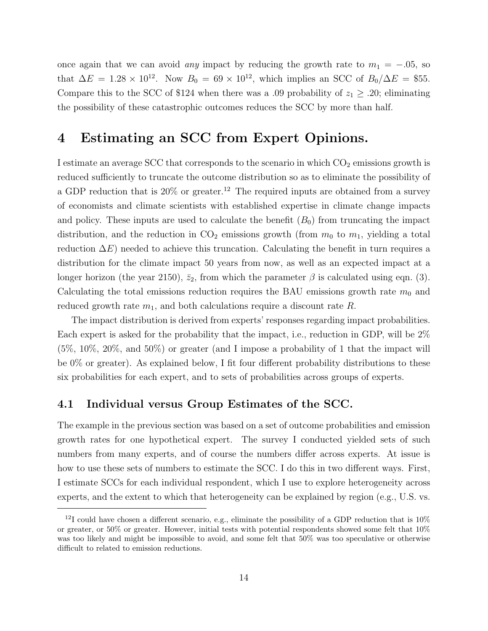once again that we can avoid *any* impact by reducing the growth rate to  $m_1 = -0.05$ , so that  $\Delta E = 1.28 \times 10^{12}$ . Now  $B_0 = 69 \times 10^{12}$ , which implies an SCC of  $B_0/\Delta E = $55$ . Compare this to the SCC of \$124 when there was a .09 probability of  $z_1 \geq 0.20$ ; eliminating the possibility of these catastrophic outcomes reduces the SCC by more than half.

# 4 Estimating an SCC from Expert Opinions.

I estimate an average SCC that corresponds to the scenario in which  $CO<sub>2</sub>$  emissions growth is reduced sufficiently to truncate the outcome distribution so as to eliminate the possibility of a GDP reduction that is  $20\%$  or greater.<sup>12</sup> The required inputs are obtained from a survey of economists and climate scientists with established expertise in climate change impacts and policy. These inputs are used to calculate the benefit  $(B_0)$  from truncating the impact distribution, and the reduction in  $CO<sub>2</sub>$  emissions growth (from  $m<sub>0</sub>$  to  $m<sub>1</sub>$ , yielding a total reduction  $\Delta E$ ) needed to achieve this truncation. Calculating the benefit in turn requires a distribution for the climate impact 50 years from now, as well as an expected impact at a longer horizon (the year 2150),  $\bar{z}_2$ , from which the parameter  $\beta$  is calculated using eqn. (3). Calculating the total emissions reduction requires the BAU emissions growth rate  $m_0$  and reduced growth rate  $m_1$ , and both calculations require a discount rate R.

The impact distribution is derived from experts' responses regarding impact probabilities. Each expert is asked for the probability that the impact, i.e., reduction in GDP, will be 2% (5%, 10%, 20%, and 50%) or greater (and I impose a probability of 1 that the impact will be 0% or greater). As explained below, I fit four different probability distributions to these six probabilities for each expert, and to sets of probabilities across groups of experts.

## 4.1 Individual versus Group Estimates of the SCC.

The example in the previous section was based on a set of outcome probabilities and emission growth rates for one hypothetical expert. The survey I conducted yielded sets of such numbers from many experts, and of course the numbers differ across experts. At issue is how to use these sets of numbers to estimate the SCC. I do this in two different ways. First, I estimate SCCs for each individual respondent, which I use to explore heterogeneity across experts, and the extent to which that heterogeneity can be explained by region (e.g., U.S. vs.

 $12I$  could have chosen a different scenario, e.g., eliminate the possibility of a GDP reduction that is  $10\%$ or greater, or 50% or greater. However, initial tests with potential respondents showed some felt that 10% was too likely and might be impossible to avoid, and some felt that 50% was too speculative or otherwise difficult to related to emission reductions.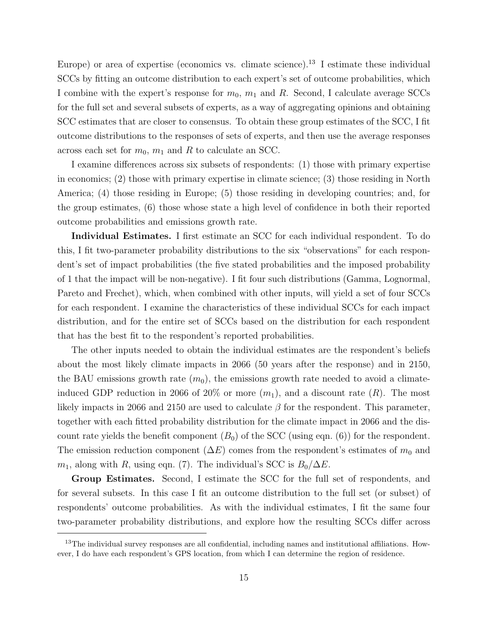Europe) or area of expertise (economics vs. climate science).<sup>13</sup> I estimate these individual SCCs by fitting an outcome distribution to each expert's set of outcome probabilities, which I combine with the expert's response for  $m_0$ ,  $m_1$  and R. Second, I calculate average SCCs for the full set and several subsets of experts, as a way of aggregating opinions and obtaining SCC estimates that are closer to consensus. To obtain these group estimates of the SCC, I fit outcome distributions to the responses of sets of experts, and then use the average responses across each set for  $m_0$ ,  $m_1$  and R to calculate an SCC.

I examine differences across six subsets of respondents: (1) those with primary expertise in economics; (2) those with primary expertise in climate science; (3) those residing in North America; (4) those residing in Europe; (5) those residing in developing countries; and, for the group estimates, (6) those whose state a high level of confidence in both their reported outcome probabilities and emissions growth rate.

Individual Estimates. I first estimate an SCC for each individual respondent. To do this, I fit two-parameter probability distributions to the six "observations" for each respondent's set of impact probabilities (the five stated probabilities and the imposed probability of 1 that the impact will be non-negative). I fit four such distributions (Gamma, Lognormal, Pareto and Frechet), which, when combined with other inputs, will yield a set of four SCCs for each respondent. I examine the characteristics of these individual SCCs for each impact distribution, and for the entire set of SCCs based on the distribution for each respondent that has the best fit to the respondent's reported probabilities.

The other inputs needed to obtain the individual estimates are the respondent's beliefs about the most likely climate impacts in 2066 (50 years after the response) and in 2150, the BAU emissions growth rate  $(m_0)$ , the emissions growth rate needed to avoid a climateinduced GDP reduction in 2066 of 20% or more  $(m_1)$ , and a discount rate  $(R)$ . The most likely impacts in 2066 and 2150 are used to calculate  $\beta$  for the respondent. This parameter, together with each fitted probability distribution for the climate impact in 2066 and the discount rate yields the benefit component  $(B_0)$  of the SCC (using eqn. (6)) for the respondent. The emission reduction component  $(\Delta E)$  comes from the respondent's estimates of  $m_0$  and  $m_1$ , along with R, using eqn. (7). The individual's SCC is  $B_0/\Delta E$ .

Group Estimates. Second, I estimate the SCC for the full set of respondents, and for several subsets. In this case I fit an outcome distribution to the full set (or subset) of respondents' outcome probabilities. As with the individual estimates, I fit the same four two-parameter probability distributions, and explore how the resulting SCCs differ across

<sup>&</sup>lt;sup>13</sup>The individual survey responses are all confidential, including names and institutional affiliations. However, I do have each respondent's GPS location, from which I can determine the region of residence.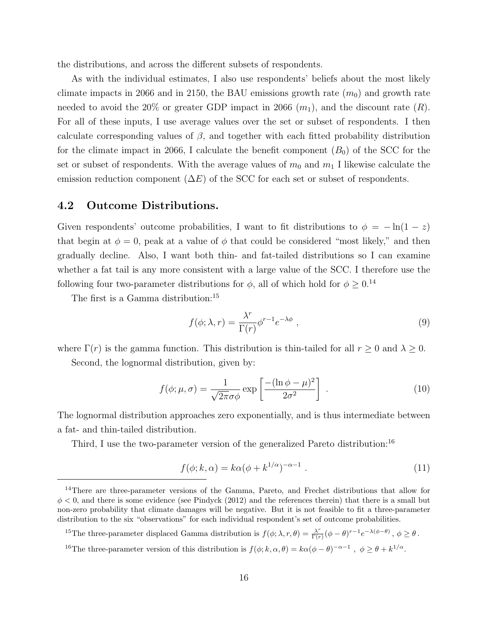the distributions, and across the different subsets of respondents.

As with the individual estimates, I also use respondents' beliefs about the most likely climate impacts in 2066 and in 2150, the BAU emissions growth rate  $(m_0)$  and growth rate needed to avoid the 20% or greater GDP impact in 2066  $(m_1)$ , and the discount rate  $(R)$ . For all of these inputs, I use average values over the set or subset of respondents. I then calculate corresponding values of  $\beta$ , and together with each fitted probability distribution for the climate impact in 2066, I calculate the benefit component  $(B_0)$  of the SCC for the set or subset of respondents. With the average values of  $m_0$  and  $m_1$  I likewise calculate the emission reduction component  $(\Delta E)$  of the SCC for each set or subset of respondents.

## 4.2 Outcome Distributions.

Given respondents' outcome probabilities, I want to fit distributions to  $\phi = -\ln(1-z)$ that begin at  $\phi = 0$ , peak at a value of  $\phi$  that could be considered "most likely," and then gradually decline. Also, I want both thin- and fat-tailed distributions so I can examine whether a fat tail is any more consistent with a large value of the SCC. I therefore use the following four two-parameter distributions for  $\phi$ , all of which hold for  $\phi \geq 0.14$ 

The first is a Gamma distribution:<sup>15</sup>

$$
f(\phi; \lambda, r) = \frac{\lambda^r}{\Gamma(r)} \phi^{r-1} e^{-\lambda \phi} , \qquad (9)
$$

where  $\Gamma(r)$  is the gamma function. This distribution is thin-tailed for all  $r \geq 0$  and  $\lambda \geq 0$ . Second, the lognormal distribution, given by:

$$
f(\phi; \mu, \sigma) = \frac{1}{\sqrt{2\pi}\sigma\phi} \exp\left[\frac{-(\ln \phi - \mu)^2}{2\sigma^2}\right] \tag{10}
$$

The lognormal distribution approaches zero exponentially, and is thus intermediate between a fat- and thin-tailed distribution.

Third, I use the two-parameter version of the generalized Pareto distribution:<sup>16</sup>

$$
f(\phi; k, \alpha) = k\alpha(\phi + k^{1/\alpha})^{-\alpha - 1} . \qquad (11)
$$

<sup>&</sup>lt;sup>14</sup>There are three-parameter versions of the Gamma, Pareto, and Frechet distributions that allow for  $\phi$  < 0, and there is some evidence (see Pindyck (2012) and the references therein) that there is a small but non-zero probability that climate damages will be negative. But it is not feasible to fit a three-parameter distribution to the six "observations" for each individual respondent's set of outcome probabilities.

<sup>&</sup>lt;sup>15</sup>The three-parameter displaced Gamma distribution is  $f(\phi; \lambda, r, \theta) = \frac{\lambda^r}{\Gamma(r)}$  $\frac{\lambda^r}{\Gamma(r)}(\phi-\theta)^{r-1}e^{-\lambda(\phi-\theta)}\,,\,\phi\geq\theta\,.$ <sup>16</sup>The three-parameter version of this distribution is  $f(\phi; k, \alpha, \theta) = k\alpha(\phi - \theta)^{-\alpha - 1}$ ,  $\phi \ge \theta + k^{1/\alpha}$ .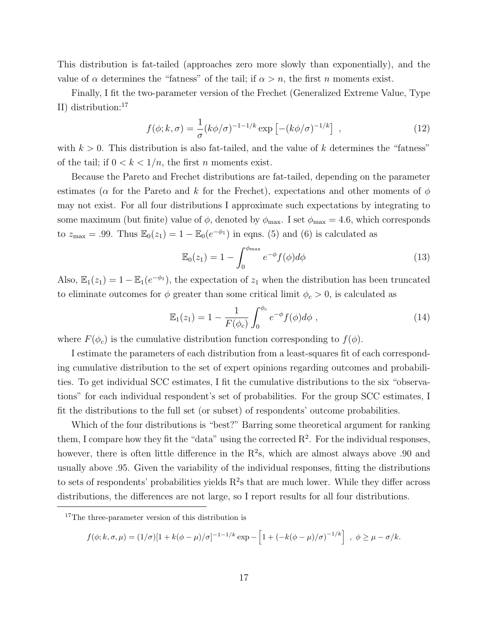This distribution is fat-tailed (approaches zero more slowly than exponentially), and the value of  $\alpha$  determines the "fatness" of the tail; if  $\alpha > n$ , the first n moments exist.

Finally, I fit the two-parameter version of the Frechet (Generalized Extreme Value, Type II) distribution:<sup>17</sup>

$$
f(\phi; k, \sigma) = \frac{1}{\sigma} (k\phi/\sigma)^{-1-1/k} \exp \left[ -(k\phi/\sigma)^{-1/k} \right] , \qquad (12)
$$

with  $k > 0$ . This distribution is also fat-tailed, and the value of k determines the "fatness" of the tail; if  $0 < k < 1/n$ , the first *n* moments exist.

Because the Pareto and Frechet distributions are fat-tailed, depending on the parameter estimates ( $\alpha$  for the Pareto and k for the Frechet), expectations and other moments of  $\phi$ may not exist. For all four distributions I approximate such expectations by integrating to some maximum (but finite) value of  $\phi$ , denoted by  $\phi_{\text{max}}$ . I set  $\phi_{\text{max}} = 4.6$ , which corresponds to  $z_{\text{max}} = .99$ . Thus  $\mathbb{E}_0(z_1) = 1 - \mathbb{E}_0(e^{-\phi_1})$  in eqns. (5) and (6) is calculated as

$$
\mathbb{E}_0(z_1) = 1 - \int_0^{\phi_{\text{max}}} e^{-\phi} f(\phi) d\phi \tag{13}
$$

Also,  $\mathbb{E}_1(z_1) = 1 - \mathbb{E}_1(e^{-\phi_1})$ , the expectation of  $z_1$  when the distribution has been truncated to eliminate outcomes for  $\phi$  greater than some critical limit  $\phi_c > 0$ , is calculated as

$$
\mathbb{E}_1(z_1) = 1 - \frac{1}{F(\phi_c)} \int_0^{\phi_c} e^{-\phi} f(\phi) d\phi , \qquad (14)
$$

where  $F(\phi_c)$  is the cumulative distribution function corresponding to  $f(\phi)$ .

I estimate the parameters of each distribution from a least-squares fit of each corresponding cumulative distribution to the set of expert opinions regarding outcomes and probabilities. To get individual SCC estimates, I fit the cumulative distributions to the six "observations" for each individual respondent's set of probabilities. For the group SCC estimates, I fit the distributions to the full set (or subset) of respondents' outcome probabilities.

Which of the four distributions is "best?" Barring some theoretical argument for ranking them, I compare how they fit the "data" using the corrected  $\mathbb{R}^2$ . For the individual responses, however, there is often little difference in the  $R^2$ s, which are almost always above .90 and usually above .95. Given the variability of the individual responses, fitting the distributions to sets of respondents' probabilities yields  $R^2$ s that are much lower. While they differ across distributions, the differences are not large, so I report results for all four distributions.

$$
f(\phi; k, \sigma, \mu) = (1/\sigma)[1 + k(\phi - \mu)/\sigma]^{-1 - 1/k} \exp - \left[1 + (-k(\phi - \mu)/\sigma)^{-1/k}\right], \phi \ge \mu - \sigma/k.
$$

<sup>&</sup>lt;sup>17</sup>The three-parameter version of this distribution is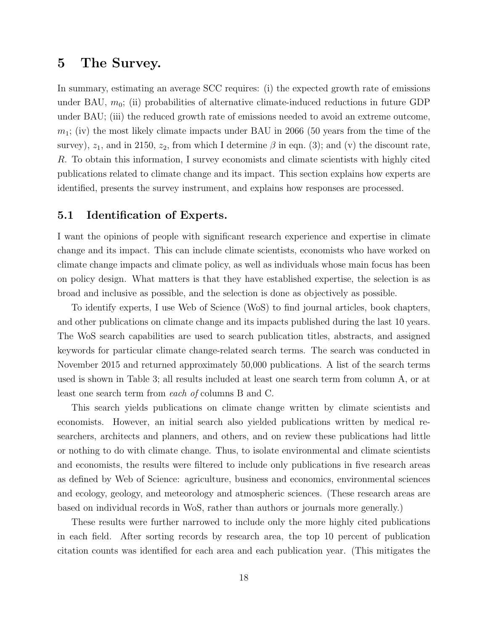## 5 The Survey.

In summary, estimating an average SCC requires: (i) the expected growth rate of emissions under BAU,  $m_0$ ; (ii) probabilities of alternative climate-induced reductions in future GDP under BAU; (iii) the reduced growth rate of emissions needed to avoid an extreme outcome,  $m_1$ ; (iv) the most likely climate impacts under BAU in 2066 (50 years from the time of the survey),  $z_1$ , and in 2150,  $z_2$ , from which I determine  $\beta$  in eqn. (3); and (v) the discount rate, R. To obtain this information, I survey economists and climate scientists with highly cited publications related to climate change and its impact. This section explains how experts are identified, presents the survey instrument, and explains how responses are processed.

## 5.1 Identification of Experts.

I want the opinions of people with significant research experience and expertise in climate change and its impact. This can include climate scientists, economists who have worked on climate change impacts and climate policy, as well as individuals whose main focus has been on policy design. What matters is that they have established expertise, the selection is as broad and inclusive as possible, and the selection is done as objectively as possible.

To identify experts, I use Web of Science (WoS) to find journal articles, book chapters, and other publications on climate change and its impacts published during the last 10 years. The WoS search capabilities are used to search publication titles, abstracts, and assigned keywords for particular climate change-related search terms. The search was conducted in November 2015 and returned approximately 50,000 publications. A list of the search terms used is shown in Table 3; all results included at least one search term from column A, or at least one search term from each of columns B and C.

This search yields publications on climate change written by climate scientists and economists. However, an initial search also yielded publications written by medical researchers, architects and planners, and others, and on review these publications had little or nothing to do with climate change. Thus, to isolate environmental and climate scientists and economists, the results were filtered to include only publications in five research areas as defined by Web of Science: agriculture, business and economics, environmental sciences and ecology, geology, and meteorology and atmospheric sciences. (These research areas are based on individual records in WoS, rather than authors or journals more generally.)

These results were further narrowed to include only the more highly cited publications in each field. After sorting records by research area, the top 10 percent of publication citation counts was identified for each area and each publication year. (This mitigates the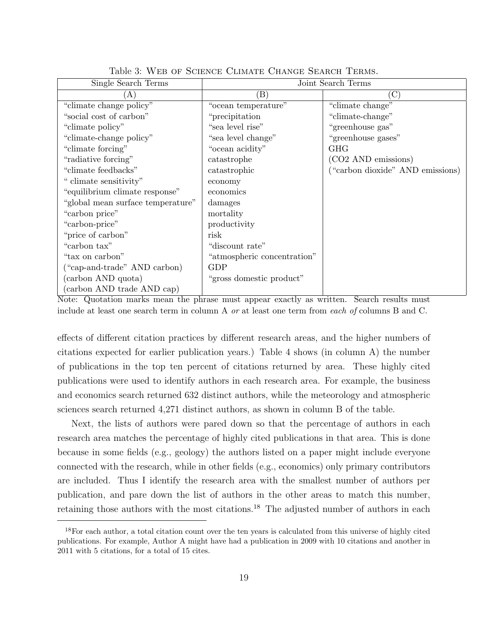| тарк о, тер от роннуе слимате спаков реакси текию. |                             |                                  |  |  |  |  |  |
|----------------------------------------------------|-----------------------------|----------------------------------|--|--|--|--|--|
| Single Search Terms                                | Joint Search Terms          |                                  |  |  |  |  |  |
| (A                                                 | $\left( \mathrm{B}\right)$  | $(\mathrm{C})$                   |  |  |  |  |  |
| "climate change policy"                            | "ocean temperature"         | "climate change"                 |  |  |  |  |  |
| "social cost of carbon"                            | "precipitation"             | "climate-change"                 |  |  |  |  |  |
| "climate policy"                                   | "sea level rise"            | "greenhouse gas"                 |  |  |  |  |  |
| "climate-change policy"                            | "sea level change"          | "greenhouse gases"               |  |  |  |  |  |
| "climate forcing"                                  | "ocean acidity"             | <b>GHG</b>                       |  |  |  |  |  |
| "radiative forcing"                                | catastrophe                 | (CO2 AND emissions)              |  |  |  |  |  |
| "climate feedbacks"                                | catastrophic                | ("carbon dioxide" AND emissions) |  |  |  |  |  |
| " climate sensitivity"                             | economy                     |                                  |  |  |  |  |  |
| "equilibrium climate response"                     | economics                   |                                  |  |  |  |  |  |
| "global mean surface temperature"                  | damages                     |                                  |  |  |  |  |  |
| "carbon price"                                     | mortality                   |                                  |  |  |  |  |  |
| "carbon-price"                                     | productivity                |                                  |  |  |  |  |  |
| "price of carbon"                                  | risk                        |                                  |  |  |  |  |  |
| "carbon tax"                                       | "discount rate"             |                                  |  |  |  |  |  |
| "tax on carbon"                                    | "atmospheric concentration" |                                  |  |  |  |  |  |
| ("cap-and-trade" AND carbon)                       | <b>GDP</b>                  |                                  |  |  |  |  |  |
| (carbon AND quota)                                 | "gross domestic product"    |                                  |  |  |  |  |  |
| (carbon AND trade AND cap)                         |                             |                                  |  |  |  |  |  |

Table 3: Web of Science Climate Change Search Terms.

Note: Quotation marks mean the phrase must appear exactly as written. Search results must include at least one search term in column A or at least one term from each of columns B and C.

effects of different citation practices by different research areas, and the higher numbers of citations expected for earlier publication years.) Table 4 shows (in column A) the number of publications in the top ten percent of citations returned by area. These highly cited publications were used to identify authors in each research area. For example, the business and economics search returned 632 distinct authors, while the meteorology and atmospheric sciences search returned 4,271 distinct authors, as shown in column B of the table.

Next, the lists of authors were pared down so that the percentage of authors in each research area matches the percentage of highly cited publications in that area. This is done because in some fields (e.g., geology) the authors listed on a paper might include everyone connected with the research, while in other fields (e.g., economics) only primary contributors are included. Thus I identify the research area with the smallest number of authors per publication, and pare down the list of authors in the other areas to match this number, retaining those authors with the most citations.<sup>18</sup> The adjusted number of authors in each

<sup>&</sup>lt;sup>18</sup>For each author, a total citation count over the ten years is calculated from this universe of highly cited publications. For example, Author A might have had a publication in 2009 with 10 citations and another in 2011 with 5 citations, for a total of 15 cites.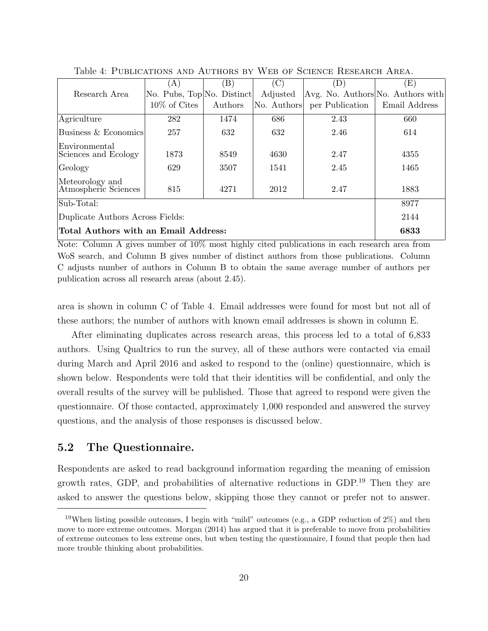|                                          | (A)                                                | $\left( \mathrm{B}\right)$ | $\left( \mathrm{C} \right)$ | D)                                | $\left( \mathrm{E}\right)$ |  |  |  |
|------------------------------------------|----------------------------------------------------|----------------------------|-----------------------------|-----------------------------------|----------------------------|--|--|--|
| Research Area                            | $\vert$ No. Pubs, Top $\vert$ No. Distinct $\vert$ |                            | Adjusted                    | Avg. No. Authors No. Authors with |                            |  |  |  |
|                                          | $10\%$ of Cites                                    | Authors                    | No. Authors                 | per Publication                   | Email Address              |  |  |  |
| Agriculture                              | 282                                                | 1474                       | 686                         | 2.43                              | 660                        |  |  |  |
| Business & Economics                     | 257                                                | 632                        | 632                         | 2.46                              | 614                        |  |  |  |
| Environmental<br>Sciences and Ecology    | 1873                                               | 8549                       | 4630                        | 2.47                              | 4355                       |  |  |  |
| Geology                                  | 629                                                | 3507                       | 1541                        | 2.45                              | 1465                       |  |  |  |
| Meteorology and<br>Atmospheric Sciences  | 815                                                | 4271                       | 2012                        | 2.47                              | 1883                       |  |  |  |
| Sub-Total:                               | 8977                                               |                            |                             |                                   |                            |  |  |  |
| 2144<br>Duplicate Authors Across Fields: |                                                    |                            |                             |                                   |                            |  |  |  |
| Total Authors with an Email Address:     | 6833                                               |                            |                             |                                   |                            |  |  |  |

Table 4: Publications and Authors by Web of Science Research Area.

Note: Column A gives number of 10% most highly cited publications in each research area from WoS search, and Column B gives number of distinct authors from those publications. Column C adjusts number of authors in Column B to obtain the same average number of authors per publication across all research areas (about 2.45).

area is shown in column C of Table 4. Email addresses were found for most but not all of these authors; the number of authors with known email addresses is shown in column E.

After eliminating duplicates across research areas, this process led to a total of 6,833 authors. Using Qualtrics to run the survey, all of these authors were contacted via email during March and April 2016 and asked to respond to the (online) questionnaire, which is shown below. Respondents were told that their identities will be confidential, and only the overall results of the survey will be published. Those that agreed to respond were given the questionnaire. Of those contacted, approximately 1,000 responded and answered the survey questions, and the analysis of those responses is discussed below.

## 5.2 The Questionnaire.

Respondents are asked to read background information regarding the meaning of emission growth rates, GDP, and probabilities of alternative reductions in GDP.<sup>19</sup> Then they are asked to answer the questions below, skipping those they cannot or prefer not to answer.

<sup>&</sup>lt;sup>19</sup>When listing possible outcomes, I begin with "mild" outcomes (e.g., a GDP reduction of  $2\%$ ) and then move to more extreme outcomes. Morgan (2014) has argued that it is preferable to move from probabilities of extreme outcomes to less extreme ones, but when testing the questionnaire, I found that people then had more trouble thinking about probabilities.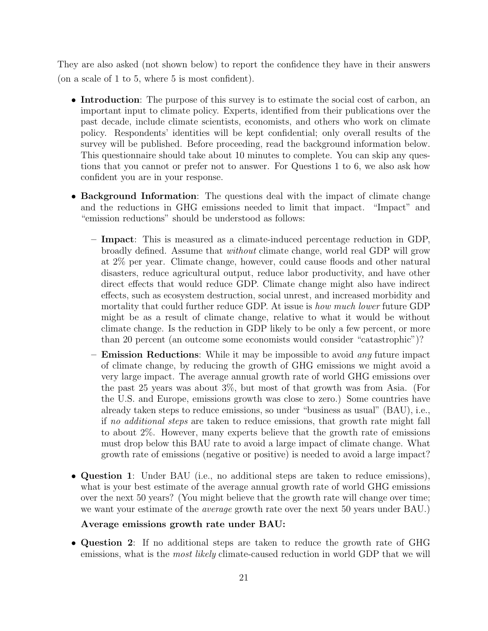They are also asked (not shown below) to report the confidence they have in their answers (on a scale of 1 to 5, where 5 is most confident).

- Introduction: The purpose of this survey is to estimate the social cost of carbon, an important input to climate policy. Experts, identified from their publications over the past decade, include climate scientists, economists, and others who work on climate policy. Respondents' identities will be kept confidential; only overall results of the survey will be published. Before proceeding, read the background information below. This questionnaire should take about 10 minutes to complete. You can skip any questions that you cannot or prefer not to answer. For Questions 1 to 6, we also ask how confident you are in your response.
- Background Information: The questions deal with the impact of climate change and the reductions in GHG emissions needed to limit that impact. "Impact" and "emission reductions" should be understood as follows:
	- Impact: This is measured as a climate-induced percentage reduction in GDP, broadly defined. Assume that without climate change, world real GDP will grow at 2% per year. Climate change, however, could cause floods and other natural disasters, reduce agricultural output, reduce labor productivity, and have other direct effects that would reduce GDP. Climate change might also have indirect effects, such as ecosystem destruction, social unrest, and increased morbidity and mortality that could further reduce GDP. At issue is *how much lower* future GDP might be as a result of climate change, relative to what it would be without climate change. Is the reduction in GDP likely to be only a few percent, or more than 20 percent (an outcome some economists would consider "catastrophic")?
	- **Emission Reductions**: While it may be impossible to avoid *any* future impact of climate change, by reducing the growth of GHG emissions we might avoid a very large impact. The average annual growth rate of world GHG emissions over the past 25 years was about 3%, but most of that growth was from Asia. (For the U.S. and Europe, emissions growth was close to zero.) Some countries have already taken steps to reduce emissions, so under "business as usual" (BAU), i.e., if no additional steps are taken to reduce emissions, that growth rate might fall to about 2%. However, many experts believe that the growth rate of emissions must drop below this BAU rate to avoid a large impact of climate change. What growth rate of emissions (negative or positive) is needed to avoid a large impact?
- Question 1: Under BAU (i.e., no additional steps are taken to reduce emissions), what is your best estimate of the average annual growth rate of world GHG emissions over the next 50 years? (You might believe that the growth rate will change over time; we want your estimate of the *average* growth rate over the next 50 years under BAU.)

#### Average emissions growth rate under BAU:

• Question 2: If no additional steps are taken to reduce the growth rate of GHG emissions, what is the *most likely* climate-caused reduction in world GDP that we will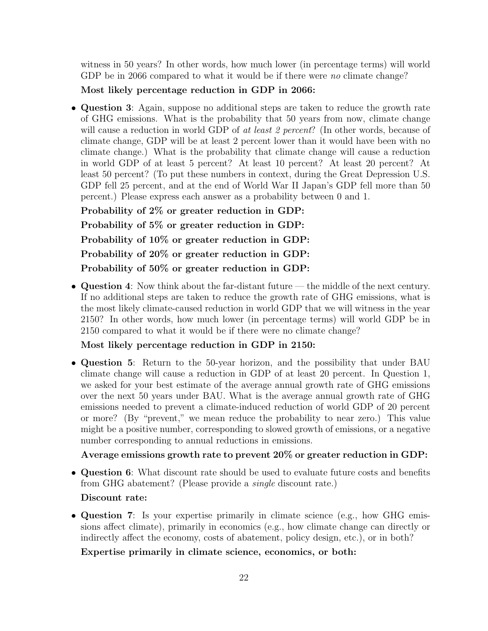witness in 50 years? In other words, how much lower (in percentage terms) will world GDP be in 2066 compared to what it would be if there were no climate change?

Most likely percentage reduction in GDP in 2066:

• Question 3: Again, suppose no additional steps are taken to reduce the growth rate of GHG emissions. What is the probability that 50 years from now, climate change will cause a reduction in world GDP of at least 2 percent? (In other words, because of climate change, GDP will be at least 2 percent lower than it would have been with no climate change.) What is the probability that climate change will cause a reduction in world GDP of at least 5 percent? At least 10 percent? At least 20 percent? At least 50 percent? (To put these numbers in context, during the Great Depression U.S. GDP fell 25 percent, and at the end of World War II Japan's GDP fell more than 50 percent.) Please express each answer as a probability between 0 and 1.

Probability of 2% or greater reduction in GDP: Probability of 5% or greater reduction in GDP: Probability of 10% or greater reduction in GDP: Probability of 20% or greater reduction in GDP: Probability of 50% or greater reduction in GDP:

• Question 4: Now think about the far-distant future — the middle of the next century. If no additional steps are taken to reduce the growth rate of GHG emissions, what is the most likely climate-caused reduction in world GDP that we will witness in the year 2150? In other words, how much lower (in percentage terms) will world GDP be in 2150 compared to what it would be if there were no climate change?

Most likely percentage reduction in GDP in 2150:

• Question 5: Return to the 50-year horizon, and the possibility that under BAU climate change will cause a reduction in GDP of at least 20 percent. In Question 1, we asked for your best estimate of the average annual growth rate of GHG emissions over the next 50 years under BAU. What is the average annual growth rate of GHG emissions needed to prevent a climate-induced reduction of world GDP of 20 percent or more? (By "prevent," we mean reduce the probability to near zero.) This value might be a positive number, corresponding to slowed growth of emissions, or a negative number corresponding to annual reductions in emissions.

## Average emissions growth rate to prevent 20% or greater reduction in GDP:

• Question 6: What discount rate should be used to evaluate future costs and benefits from GHG abatement? (Please provide a single discount rate.)

#### Discount rate:

• Question 7: Is your expertise primarily in climate science (e.g., how GHG emissions affect climate), primarily in economics (e.g., how climate change can directly or indirectly affect the economy, costs of abatement, policy design, etc.), or in both?

Expertise primarily in climate science, economics, or both: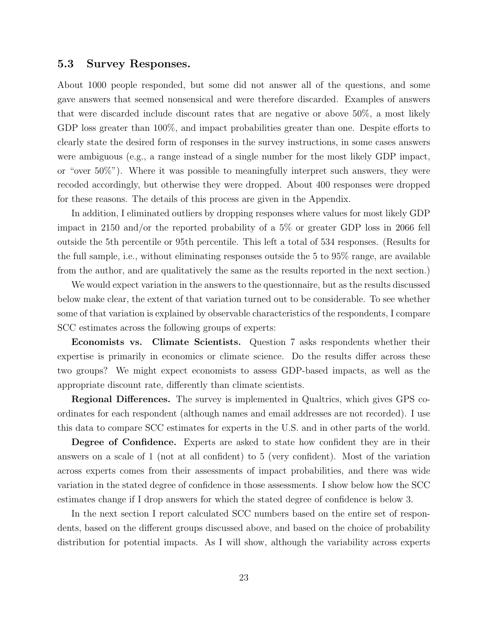#### 5.3 Survey Responses.

About 1000 people responded, but some did not answer all of the questions, and some gave answers that seemed nonsensical and were therefore discarded. Examples of answers that were discarded include discount rates that are negative or above 50%, a most likely GDP loss greater than 100%, and impact probabilities greater than one. Despite efforts to clearly state the desired form of responses in the survey instructions, in some cases answers were ambiguous (e.g., a range instead of a single number for the most likely GDP impact, or "over 50%"). Where it was possible to meaningfully interpret such answers, they were recoded accordingly, but otherwise they were dropped. About 400 responses were dropped for these reasons. The details of this process are given in the Appendix.

In addition, I eliminated outliers by dropping responses where values for most likely GDP impact in 2150 and/or the reported probability of a 5% or greater GDP loss in 2066 fell outside the 5th percentile or 95th percentile. This left a total of 534 responses. (Results for the full sample, i.e., without eliminating responses outside the 5 to 95% range, are available from the author, and are qualitatively the same as the results reported in the next section.)

We would expect variation in the answers to the questionnaire, but as the results discussed below make clear, the extent of that variation turned out to be considerable. To see whether some of that variation is explained by observable characteristics of the respondents, I compare SCC estimates across the following groups of experts:

Economists vs. Climate Scientists. Question 7 asks respondents whether their expertise is primarily in economics or climate science. Do the results differ across these two groups? We might expect economists to assess GDP-based impacts, as well as the appropriate discount rate, differently than climate scientists.

Regional Differences. The survey is implemented in Qualtrics, which gives GPS coordinates for each respondent (although names and email addresses are not recorded). I use this data to compare SCC estimates for experts in the U.S. and in other parts of the world.

Degree of Confidence. Experts are asked to state how confident they are in their answers on a scale of 1 (not at all confident) to 5 (very confident). Most of the variation across experts comes from their assessments of impact probabilities, and there was wide variation in the stated degree of confidence in those assessments. I show below how the SCC estimates change if I drop answers for which the stated degree of confidence is below 3.

In the next section I report calculated SCC numbers based on the entire set of respondents, based on the different groups discussed above, and based on the choice of probability distribution for potential impacts. As I will show, although the variability across experts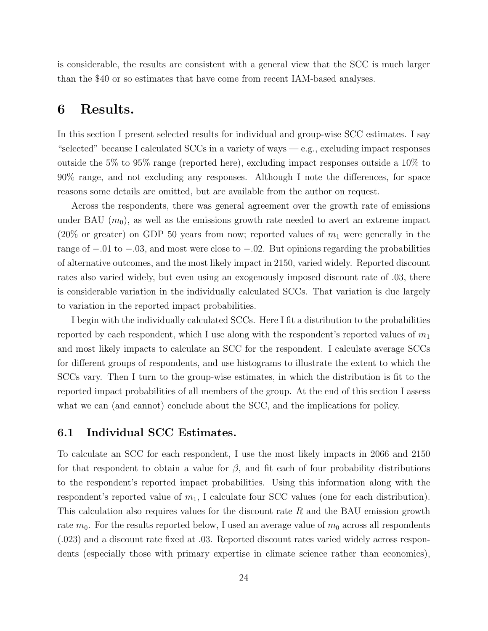is considerable, the results are consistent with a general view that the SCC is much larger than the \$40 or so estimates that have come from recent IAM-based analyses.

## 6 Results.

In this section I present selected results for individual and group-wise SCC estimates. I say "selected" because I calculated SCCs in a variety of ways — e.g., excluding impact responses outside the 5% to 95% range (reported here), excluding impact responses outside a 10% to 90% range, and not excluding any responses. Although I note the differences, for space reasons some details are omitted, but are available from the author on request.

Across the respondents, there was general agreement over the growth rate of emissions under BAU  $(m_0)$ , as well as the emissions growth rate needed to avert an extreme impact (20% or greater) on GDP 50 years from now; reported values of  $m_1$  were generally in the range of −.01 to −.03, and most were close to −.02. But opinions regarding the probabilities of alternative outcomes, and the most likely impact in 2150, varied widely. Reported discount rates also varied widely, but even using an exogenously imposed discount rate of .03, there is considerable variation in the individually calculated SCCs. That variation is due largely to variation in the reported impact probabilities.

I begin with the individually calculated SCCs. Here I fit a distribution to the probabilities reported by each respondent, which I use along with the respondent's reported values of  $m_1$ and most likely impacts to calculate an SCC for the respondent. I calculate average SCCs for different groups of respondents, and use histograms to illustrate the extent to which the SCCs vary. Then I turn to the group-wise estimates, in which the distribution is fit to the reported impact probabilities of all members of the group. At the end of this section I assess what we can (and cannot) conclude about the SCC, and the implications for policy.

## 6.1 Individual SCC Estimates.

To calculate an SCC for each respondent, I use the most likely impacts in 2066 and 2150 for that respondent to obtain a value for  $\beta$ , and fit each of four probability distributions to the respondent's reported impact probabilities. Using this information along with the respondent's reported value of  $m_1$ , I calculate four SCC values (one for each distribution). This calculation also requires values for the discount rate  $R$  and the BAU emission growth rate  $m_0$ . For the results reported below, I used an average value of  $m_0$  across all respondents (.023) and a discount rate fixed at .03. Reported discount rates varied widely across respondents (especially those with primary expertise in climate science rather than economics),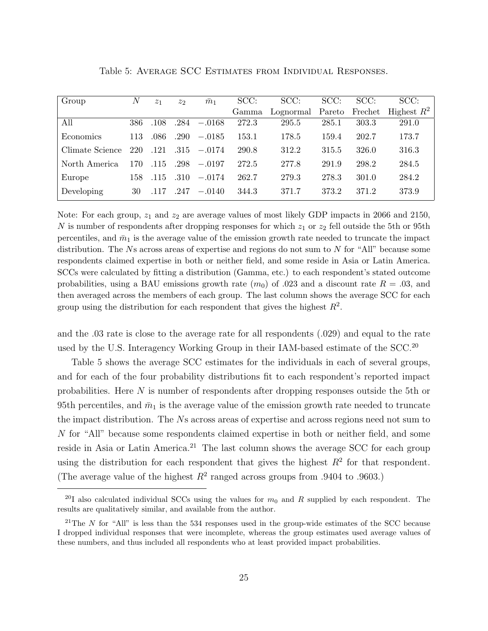| Group           | N   | z <sub>1</sub> | $z_{2}$ | $\bar{m}_1$ | SCC:  | SCC:      | SCC:   | SCC:    | SCC:          |
|-----------------|-----|----------------|---------|-------------|-------|-----------|--------|---------|---------------|
|                 |     |                |         |             | Gamma | Lognormal | Pareto | Frechet | Highest $R^2$ |
| All             | 386 | .108           | .284    | $-.0168$    | 272.3 | 295.5     | 285.1  | 303.3   | 291.0         |
| Economics       | 113 | .086           | .290    | $-.0185$    | 153.1 | 178.5     | 159.4  | 202.7   | 173.7         |
| Climate Science | 220 | .121           | .315    | $-.0174$    | 290.8 | 312.2     | 315.5  | 326.0   | 316.3         |
| North America   | 170 | .115           | .298    | $-.0197$    | 272.5 | 277.8     | 291.9  | 298.2   | 284.5         |
| Europe          | 158 | .115           | .310    | $-.0174$    | 262.7 | 279.3     | 278.3  | 301.0   | 284.2         |
| Developing      | 30  | .117           | .247    | $-.0140$    | 344.3 | 371.7     | 373.2  | 371.2   | 373.9         |

Table 5: Average SCC Estimates from Individual Responses.

Note: For each group,  $z_1$  and  $z_2$  are average values of most likely GDP impacts in 2066 and 2150, N is number of respondents after dropping responses for which  $z_1$  or  $z_2$  fell outside the 5th or 95th percentiles, and  $\bar{m}_1$  is the average value of the emission growth rate needed to truncate the impact distribution. The  $N$ s across areas of expertise and regions do not sum to  $N$  for "All" because some respondents claimed expertise in both or neither field, and some reside in Asia or Latin America. SCCs were calculated by fitting a distribution (Gamma, etc.) to each respondent's stated outcome probabilities, using a BAU emissions growth rate  $(m_0)$  of .023 and a discount rate  $R = .03$ , and then averaged across the members of each group. The last column shows the average SCC for each group using the distribution for each respondent that gives the highest  $R^2$ .

and the .03 rate is close to the average rate for all respondents (.029) and equal to the rate used by the U.S. Interagency Working Group in their IAM-based estimate of the SCC.<sup>20</sup>

Table 5 shows the average SCC estimates for the individuals in each of several groups, and for each of the four probability distributions fit to each respondent's reported impact probabilities. Here N is number of respondents after dropping responses outside the 5th or 95th percentiles, and  $\bar{m}_1$  is the average value of the emission growth rate needed to truncate the impact distribution. The Ns across areas of expertise and across regions need not sum to N for "All" because some respondents claimed expertise in both or neither field, and some reside in Asia or Latin America.<sup>21</sup> The last column shows the average SCC for each group using the distribution for each respondent that gives the highest  $R^2$  for that respondent. (The average value of the highest  $R^2$  ranged across groups from .9404 to .9603.)

<sup>&</sup>lt;sup>20</sup>I also calculated individual SCCs using the values for  $m_0$  and R supplied by each respondent. The results are qualitatively similar, and available from the author.

<sup>&</sup>lt;sup>21</sup>The N for "All" is less than the 534 responses used in the group-wide estimates of the SCC because I dropped individual responses that were incomplete, whereas the group estimates used average values of these numbers, and thus included all respondents who at least provided impact probabilities.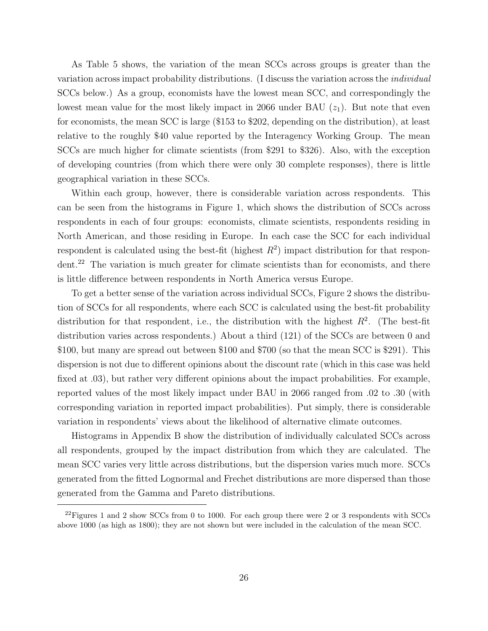As Table 5 shows, the variation of the mean SCCs across groups is greater than the variation across impact probability distributions. (I discuss the variation across the individual SCCs below.) As a group, economists have the lowest mean SCC, and correspondingly the lowest mean value for the most likely impact in 2066 under BAU  $(z_1)$ . But note that even for economists, the mean SCC is large (\$153 to \$202, depending on the distribution), at least relative to the roughly \$40 value reported by the Interagency Working Group. The mean SCCs are much higher for climate scientists (from \$291 to \$326). Also, with the exception of developing countries (from which there were only 30 complete responses), there is little geographical variation in these SCCs.

Within each group, however, there is considerable variation across respondents. This can be seen from the histograms in Figure 1, which shows the distribution of SCCs across respondents in each of four groups: economists, climate scientists, respondents residing in North American, and those residing in Europe. In each case the SCC for each individual respondent is calculated using the best-fit (highest  $R^2$ ) impact distribution for that respondent.<sup>22</sup> The variation is much greater for climate scientists than for economists, and there is little difference between respondents in North America versus Europe.

To get a better sense of the variation across individual SCCs, Figure 2 shows the distribution of SCCs for all respondents, where each SCC is calculated using the best-fit probability distribution for that respondent, i.e., the distribution with the highest  $R^2$ . (The best-fit distribution varies across respondents.) About a third (121) of the SCCs are between 0 and \$100, but many are spread out between \$100 and \$700 (so that the mean SCC is \$291). This dispersion is not due to different opinions about the discount rate (which in this case was held fixed at  $.03$ , but rather very different opinions about the impact probabilities. For example, reported values of the most likely impact under BAU in 2066 ranged from .02 to .30 (with corresponding variation in reported impact probabilities). Put simply, there is considerable variation in respondents' views about the likelihood of alternative climate outcomes.

Histograms in Appendix B show the distribution of individually calculated SCCs across all respondents, grouped by the impact distribution from which they are calculated. The mean SCC varies very little across distributions, but the dispersion varies much more. SCCs generated from the fitted Lognormal and Frechet distributions are more dispersed than those generated from the Gamma and Pareto distributions.

 $^{22}$ Figures 1 and 2 show SCCs from 0 to 1000. For each group there were 2 or 3 respondents with SCCs above 1000 (as high as 1800); they are not shown but were included in the calculation of the mean SCC.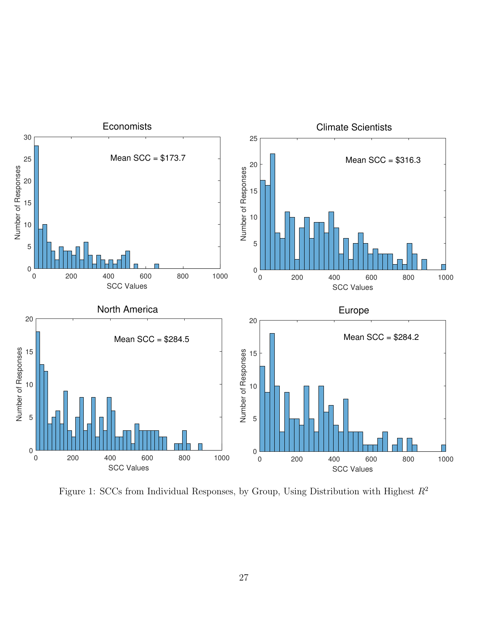

Figure 1: SCCs from Individual Responses, by Group, Using Distribution with Highest  $R^2$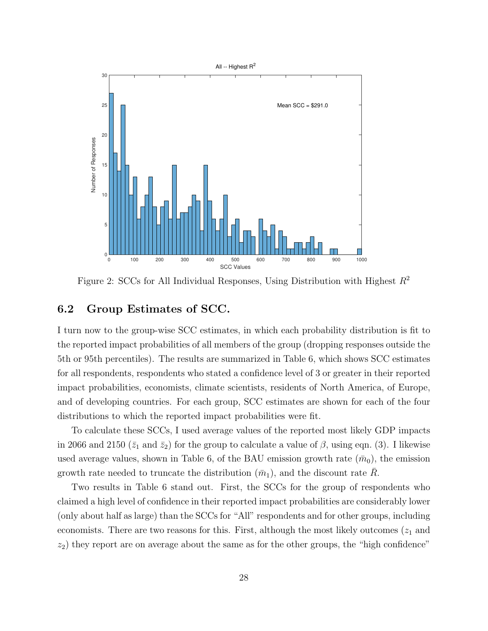

Figure 2: SCCs for All Individual Responses, Using Distribution with Highest  $R^2$ 

### 6.2 Group Estimates of SCC.

I turn now to the group-wise SCC estimates, in which each probability distribution is fit to the reported impact probabilities of all members of the group (dropping responses outside the 5th or 95th percentiles). The results are summarized in Table 6, which shows SCC estimates for all respondents, respondents who stated a confidence level of 3 or greater in their reported impact probabilities, economists, climate scientists, residents of North America, of Europe, and of developing countries. For each group, SCC estimates are shown for each of the four distributions to which the reported impact probabilities were fit.

To calculate these SCCs, I used average values of the reported most likely GDP impacts in 2066 and 2150 ( $\bar{z}_1$  and  $\bar{z}_2$ ) for the group to calculate a value of  $\beta$ , using eqn. (3). I likewise used average values, shown in Table 6, of the BAU emission growth rate  $(\bar{m}_0)$ , the emission growth rate needed to truncate the distribution  $(\bar{m}_1)$ , and the discount rate R.

Two results in Table 6 stand out. First, the SCCs for the group of respondents who claimed a high level of confidence in their reported impact probabilities are considerably lower (only about half as large) than the SCCs for "All" respondents and for other groups, including economists. There are two reasons for this. First, although the most likely outcomes  $(z_1)$  and  $z_2$ ) they report are on average about the same as for the other groups, the "high confidence"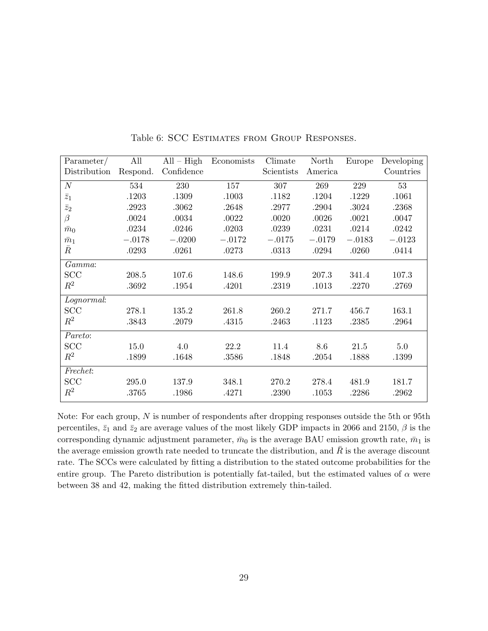| Parameter/       | All      | $\overline{All} - High$ | Economists | Climate    | North    | Europe   | Developing |
|------------------|----------|-------------------------|------------|------------|----------|----------|------------|
| Distribution     | Respond. | Confidence              |            | Scientists | America  |          | Countries  |
| $\cal N$         | 534      | 230                     | 157        | 307        | 269      | 229      | 53         |
| $\overline{z}_1$ | .1203    | .1309                   | .1003      | .1182      | .1204    | .1229    | .1061      |
| $\bar{z}_2$      | .2923    | .3062                   | .2648      | .2977      | .2904    | .3024    | .2368      |
| $\beta$          | .0024    | .0034                   | .0022      | .0020      | .0026    | .0021    | .0047      |
| $\bar{m}_0$      | .0234    | .0246                   | .0203      | .0239      | .0231    | .0214    | .0242      |
| $\bar{m}_1$      | $-.0178$ | $-.0200$                | $-.0172$   | $-.0175$   | $-.0179$ | $-.0183$ | $-.0123$   |
| $\bar{R}$        | .0293    | .0261                   | .0273      | .0313      | .0294    | .0260    | .0414      |
| Gamma:           |          |                         |            |            |          |          |            |
| <b>SCC</b>       | 208.5    | 107.6                   | 148.6      | 199.9      | 207.3    | 341.4    | 107.3      |
| $\,R^2$          | .3692    | .1954                   | .4201      | .2319      | .1013    | .2270    | .2769      |
| Lognormal:       |          |                         |            |            |          |          |            |
| SCC              | 278.1    | 135.2                   | 261.8      | 260.2      | 271.7    | 456.7    | 163.1      |
| $R^2$            | .3843    | .2079                   | .4315      | .2463      | .1123    | .2385    | .2964      |
| Pareto:          |          |                         |            |            |          |          |            |
| <b>SCC</b>       | 15.0     | 4.0                     | 22.2       | 11.4       | 8.6      | 21.5     | $5.0\,$    |
| $R^2$            | .1899    | .1648                   | .3586      | .1848      | .2054    | .1888    | .1399      |
| Frechet:         |          |                         |            |            |          |          |            |
| SCC              | 295.0    | 137.9                   | 348.1      | 270.2      | 278.4    | 481.9    | 181.7      |
| $R^2$            | .3765    | .1986                   | .4271      | .2390      | .1053    | .2286    | .2962      |

Table 6: SCC Estimates from Group Responses.

Note: For each group, N is number of respondents after dropping responses outside the 5th or 95th percentiles,  $\bar{z}_1$  and  $\bar{z}_2$  are average values of the most likely GDP impacts in 2066 and 2150,  $\beta$  is the corresponding dynamic adjustment parameter,  $\bar{m}_0$  is the average BAU emission growth rate,  $\bar{m}_1$  is the average emission growth rate needed to truncate the distribution, and  $\overline{R}$  is the average discount rate. The SCCs were calculated by fitting a distribution to the stated outcome probabilities for the entire group. The Pareto distribution is potentially fat-tailed, but the estimated values of  $\alpha$  were between 38 and 42, making the fitted distribution extremely thin-tailed.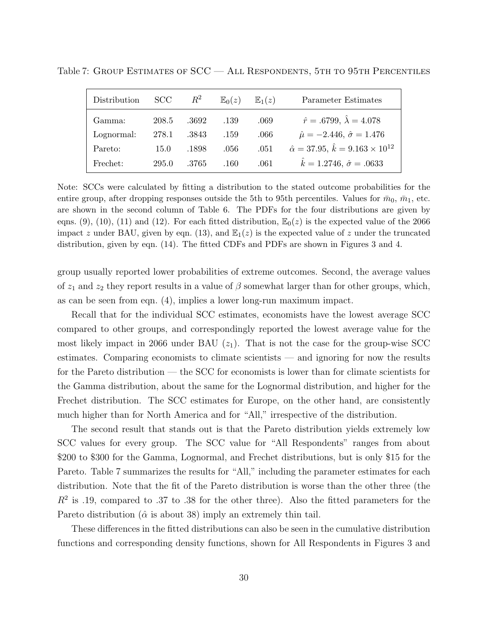| Distribution | <b>SCC</b> | $R^2$ | $\mathbb{E}_0(z)$ | $\mathbb{E}_1(z)$ | Parameter Estimates                                    |
|--------------|------------|-------|-------------------|-------------------|--------------------------------------------------------|
| Gamma:       | 208.5      | .3692 | .139              | .069              | $\hat{r} = .6799, \,\hat{\lambda} = 4.078$             |
| Lognormal:   | 278.1      | .3843 | .159              | .066              | $\hat{\mu} = -2.446, \hat{\sigma} = 1.476$             |
| Pareto:      | 15.0       | .1898 | .056              | .051              | $\hat{\alpha} = 37.95, \hat{k} = 9.163 \times 10^{12}$ |
| Frechet:     | 295.0      | .3765 | .160              | .061              | $\hat{k} = 1.2746, \ \hat{\sigma} = .0633$             |

Table 7: Group Estimates of SCC — All Respondents, 5th to 95th Percentiles

Note: SCCs were calculated by fitting a distribution to the stated outcome probabilities for the entire group, after dropping responses outside the 5th to 95th percentiles. Values for  $\bar{m}_0$ ,  $\bar{m}_1$ , etc. are shown in the second column of Table 6. The PDFs for the four distributions are given by eqns. (9), (10), (11) and (12). For each fitted distribution,  $\mathbb{E}_0(z)$  is the expected value of the 2066 impact z under BAU, given by eqn. (13), and  $\mathbb{E}_1(z)$  is the expected value of z under the truncated distribution, given by eqn. (14). The fitted CDFs and PDFs are shown in Figures 3 and 4.

group usually reported lower probabilities of extreme outcomes. Second, the average values of  $z_1$  and  $z_2$  they report results in a value of  $\beta$  somewhat larger than for other groups, which, as can be seen from eqn. (4), implies a lower long-run maximum impact.

Recall that for the individual SCC estimates, economists have the lowest average SCC compared to other groups, and correspondingly reported the lowest average value for the most likely impact in 2066 under BAU  $(z_1)$ . That is not the case for the group-wise SCC estimates. Comparing economists to climate scientists — and ignoring for now the results for the Pareto distribution — the SCC for economists is lower than for climate scientists for the Gamma distribution, about the same for the Lognormal distribution, and higher for the Frechet distribution. The SCC estimates for Europe, on the other hand, are consistently much higher than for North America and for "All," irrespective of the distribution.

The second result that stands out is that the Pareto distribution yields extremely low SCC values for every group. The SCC value for "All Respondents" ranges from about \$200 to \$300 for the Gamma, Lognormal, and Frechet distributions, but is only \$15 for the Pareto. Table 7 summarizes the results for "All," including the parameter estimates for each distribution. Note that the fit of the Pareto distribution is worse than the other three (the  $R<sup>2</sup>$  is .19, compared to .37 to .38 for the other three). Also the fitted parameters for the Pareto distribution ( $\hat{\alpha}$  is about 38) imply an extremely thin tail.

These differences in the fitted distributions can also be seen in the cumulative distribution functions and corresponding density functions, shown for All Respondents in Figures 3 and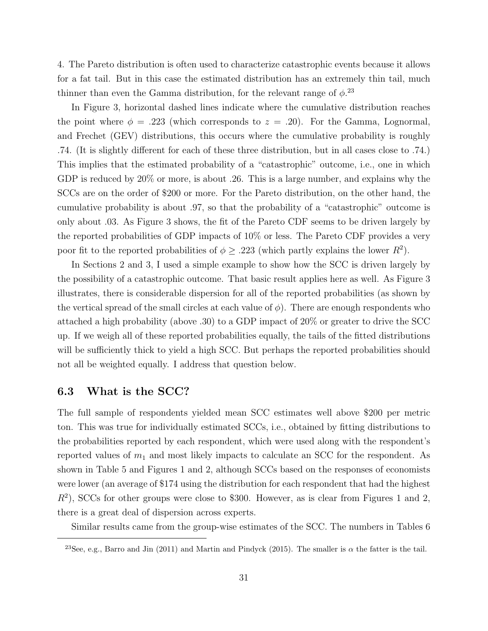4. The Pareto distribution is often used to characterize catastrophic events because it allows for a fat tail. But in this case the estimated distribution has an extremely thin tail, much thinner than even the Gamma distribution, for the relevant range of  $\phi$ <sup>23</sup>

In Figure 3, horizontal dashed lines indicate where the cumulative distribution reaches the point where  $\phi = .223$  (which corresponds to  $z = .20$ ). For the Gamma, Lognormal, and Frechet (GEV) distributions, this occurs where the cumulative probability is roughly .74. (It is slightly different for each of these three distribution, but in all cases close to .74.) This implies that the estimated probability of a "catastrophic" outcome, i.e., one in which GDP is reduced by 20% or more, is about .26. This is a large number, and explains why the SCCs are on the order of \$200 or more. For the Pareto distribution, on the other hand, the cumulative probability is about .97, so that the probability of a "catastrophic" outcome is only about .03. As Figure 3 shows, the fit of the Pareto CDF seems to be driven largely by the reported probabilities of GDP impacts of 10% or less. The Pareto CDF provides a very poor fit to the reported probabilities of  $\phi \geq .223$  (which partly explains the lower  $R^2$ ).

In Sections 2 and 3, I used a simple example to show how the SCC is driven largely by the possibility of a catastrophic outcome. That basic result applies here as well. As Figure 3 illustrates, there is considerable dispersion for all of the reported probabilities (as shown by the vertical spread of the small circles at each value of  $\phi$ ). There are enough respondents who attached a high probability (above .30) to a GDP impact of 20% or greater to drive the SCC up. If we weigh all of these reported probabilities equally, the tails of the fitted distributions will be sufficiently thick to yield a high SCC. But perhaps the reported probabilities should not all be weighted equally. I address that question below.

## 6.3 What is the SCC?

The full sample of respondents yielded mean SCC estimates well above \$200 per metric ton. This was true for individually estimated SCCs, i.e., obtained by fitting distributions to the probabilities reported by each respondent, which were used along with the respondent's reported values of  $m_1$  and most likely impacts to calculate an SCC for the respondent. As shown in Table 5 and Figures 1 and 2, although SCCs based on the responses of economists were lower (an average of \$174 using the distribution for each respondent that had the highest  $R<sup>2</sup>$ ), SCCs for other groups were close to \$300. However, as is clear from Figures 1 and 2, there is a great deal of dispersion across experts.

Similar results came from the group-wise estimates of the SCC. The numbers in Tables 6

<sup>&</sup>lt;sup>23</sup>See, e.g., Barro and Jin (2011) and Martin and Pindyck (2015). The smaller is  $\alpha$  the fatter is the tail.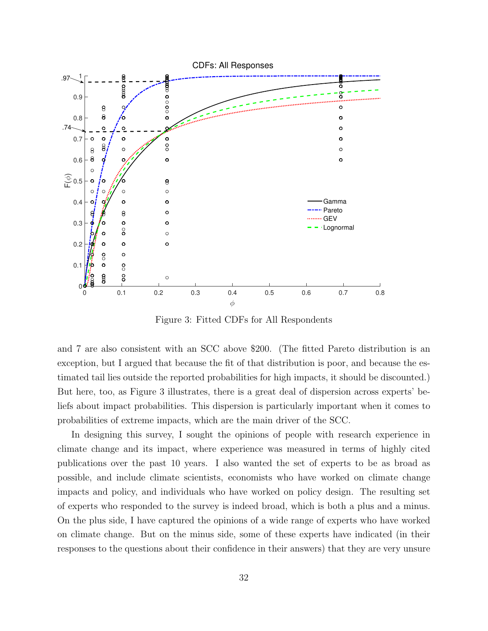

Figure 3: Fitted CDFs for All Respondents

and 7 are also consistent with an SCC above \$200. (The fitted Pareto distribution is an exception, but I argued that because the fit of that distribution is poor, and because the estimated tail lies outside the reported probabilities for high impacts, it should be discounted.) But here, too, as Figure 3 illustrates, there is a great deal of dispersion across experts' beliefs about impact probabilities. This dispersion is particularly important when it comes to probabilities of extreme impacts, which are the main driver of the SCC.

In designing this survey, I sought the opinions of people with research experience in climate change and its impact, where experience was measured in terms of highly cited publications over the past 10 years. I also wanted the set of experts to be as broad as possible, and include climate scientists, economists who have worked on climate change impacts and policy, and individuals who have worked on policy design. The resulting set of experts who responded to the survey is indeed broad, which is both a plus and a minus. On the plus side, I have captured the opinions of a wide range of experts who have worked on climate change. But on the minus side, some of these experts have indicated (in their responses to the questions about their confidence in their answers) that they are very unsure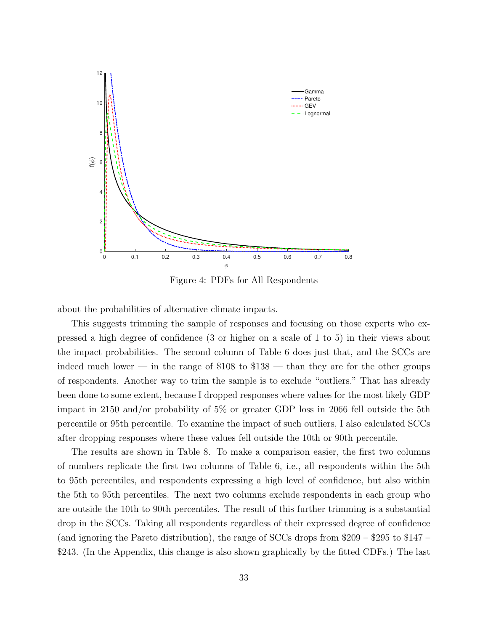

Figure 4: PDFs for All Respondents

about the probabilities of alternative climate impacts.

This suggests trimming the sample of responses and focusing on those experts who expressed a high degree of confidence (3 or higher on a scale of 1 to 5) in their views about the impact probabilities. The second column of Table 6 does just that, and the SCCs are indeed much lower — in the range of  $$108$  to  $$138$  — than they are for the other groups of respondents. Another way to trim the sample is to exclude "outliers." That has already been done to some extent, because I dropped responses where values for the most likely GDP impact in 2150 and/or probability of 5% or greater GDP loss in 2066 fell outside the 5th percentile or 95th percentile. To examine the impact of such outliers, I also calculated SCCs after dropping responses where these values fell outside the 10th or 90th percentile.

The results are shown in Table 8. To make a comparison easier, the first two columns of numbers replicate the first two columns of Table 6, i.e., all respondents within the 5th to 95th percentiles, and respondents expressing a high level of confidence, but also within the 5th to 95th percentiles. The next two columns exclude respondents in each group who are outside the 10th to 90th percentiles. The result of this further trimming is a substantial drop in the SCCs. Taking all respondents regardless of their expressed degree of confidence (and ignoring the Pareto distribution), the range of SCCs drops from \$209 – \$295 to \$147 – \$243. (In the Appendix, this change is also shown graphically by the fitted CDFs.) The last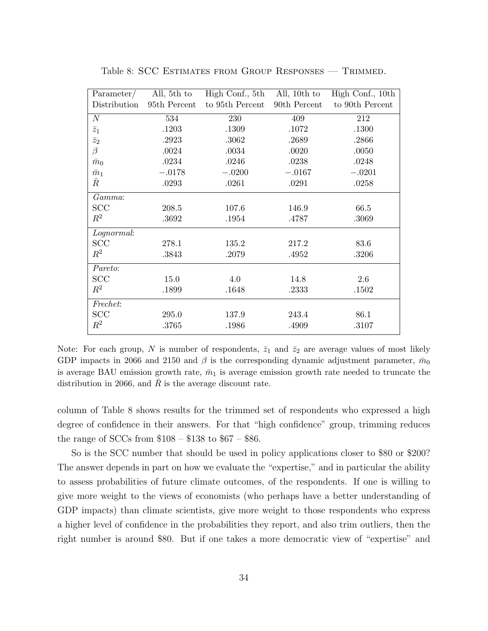| Parameter/   | All, 5th to  | High Conf., 5th | All, 10th to | High Conf., 10th |
|--------------|--------------|-----------------|--------------|------------------|
| Distribution | 95th Percent | to 95th Percent | 90th Percent | to 90th Percent  |
| $\cal N$     | 534          | 230             | 409          | 212              |
| $\bar{z}_1$  | .1203        | .1309           | .1072        | .1300            |
| $\bar{z}_2$  | .2923        | .3062           | .2689        | .2866            |
| $\beta$      | .0024        | .0034           | .0020        | .0050            |
| $\bar{m}_0$  | .0234        | .0246           | .0238        | .0248            |
| $\bar{m}_1$  | $-.0178$     | $-.0200$        | $-.0167$     | $-.0201$         |
| $\bar{R}$    | .0293        | .0261           | .0291        | .0258            |
| Gamma:       |              |                 |              |                  |
| <b>SCC</b>   | 208.5        | 107.6           | 146.9        | 66.5             |
| $\,R^2$      | .3692        | .1954           | .4787        | .3069            |
| Lognormal:   |              |                 |              |                  |
| SCC          | 278.1        | 135.2           | 217.2        | 83.6             |
| $\,R^2$      | .3843        | .2079           | .4952        | .3206            |
| Pareto:      |              |                 |              |                  |
| SCC          | 15.0         | 4.0             | 14.8         | 2.6              |
| $\,R^2$      | .1899        | .1648           | .2333        | .1502            |
| Frechet:     |              |                 |              |                  |
| SCC          | 295.0        | 137.9           | 243.4        | 86.1             |
| $R^2$        | .3765        | .1986           | .4909        | .3107            |

Table 8: SCC Estimates from Group Responses — Trimmed.

Note: For each group, N is number of respondents,  $\bar{z}_1$  and  $\bar{z}_2$  are average values of most likely GDP impacts in 2066 and 2150 and  $\beta$  is the corresponding dynamic adjustment parameter,  $\bar{m}_0$ is average BAU emission growth rate,  $\bar{m}_1$  is average emission growth rate needed to truncate the distribution in 2066, and  $R$  is the average discount rate.

column of Table 8 shows results for the trimmed set of respondents who expressed a high degree of confidence in their answers. For that "high confidence" group, trimming reduces the range of SCCs from  $$108 - $138$  to  $$67 - $86$ .

So is the SCC number that should be used in policy applications closer to \$80 or \$200? The answer depends in part on how we evaluate the "expertise," and in particular the ability to assess probabilities of future climate outcomes, of the respondents. If one is willing to give more weight to the views of economists (who perhaps have a better understanding of GDP impacts) than climate scientists, give more weight to those respondents who express a higher level of confidence in the probabilities they report, and also trim outliers, then the right number is around \$80. But if one takes a more democratic view of "expertise" and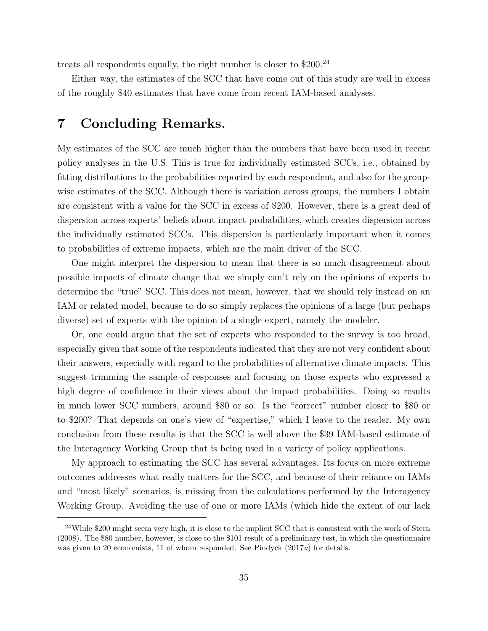treats all respondents equally, the right number is closer to \$200.<sup>24</sup>

Either way, the estimates of the SCC that have come out of this study are well in excess of the roughly \$40 estimates that have come from recent IAM-based analyses.

# 7 Concluding Remarks.

My estimates of the SCC are much higher than the numbers that have been used in recent policy analyses in the U.S. This is true for individually estimated SCCs, i.e., obtained by fitting distributions to the probabilities reported by each respondent, and also for the groupwise estimates of the SCC. Although there is variation across groups, the numbers I obtain are consistent with a value for the SCC in excess of \$200. However, there is a great deal of dispersion across experts' beliefs about impact probabilities, which creates dispersion across the individually estimated SCCs. This dispersion is particularly important when it comes to probabilities of extreme impacts, which are the main driver of the SCC.

One might interpret the dispersion to mean that there is so much disagreement about possible impacts of climate change that we simply can't rely on the opinions of experts to determine the "true" SCC. This does not mean, however, that we should rely instead on an IAM or related model, because to do so simply replaces the opinions of a large (but perhaps diverse) set of experts with the opinion of a single expert, namely the modeler.

Or, one could argue that the set of experts who responded to the survey is too broad, especially given that some of the respondents indicated that they are not very confident about their answers, especially with regard to the probabilities of alternative climate impacts. This suggest trimming the sample of responses and focusing on those experts who expressed a high degree of confidence in their views about the impact probabilities. Doing so results in much lower SCC numbers, around \$80 or so. Is the "correct" number closer to \$80 or to \$200? That depends on one's view of "expertise," which I leave to the reader. My own conclusion from these results is that the SCC is well above the \$39 IAM-based estimate of the Interagency Working Group that is being used in a variety of policy applications.

My approach to estimating the SCC has several advantages. Its focus on more extreme outcomes addresses what really matters for the SCC, and because of their reliance on IAMs and "most likely" scenarios, is missing from the calculations performed by the Interagency Working Group. Avoiding the use of one or more IAMs (which hide the extent of our lack

<sup>&</sup>lt;sup>24</sup>While \$200 might seem very high, it is close to the implicit SCC that is consistent with the work of Stern (2008). The \$80 number, however, is close to the \$101 result of a preliminary test, in which the questionnaire was given to 20 economists, 11 of whom responded. See Pindyck (2017a) for details.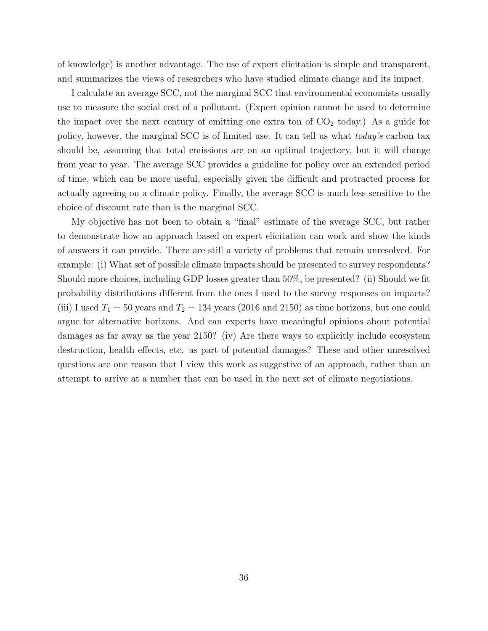of knowledge) is another advantage. The use of expert elicitation is simple and transparent, and summarizes the views of researchers who have studied climate change and its impact.

I calculate an average SCC, not the marginal SCC that environmental economists usually use to measure the social cost of a pollutant. (Expert opinion cannot be used to determine the impact over the next century of emitting one extra ton of  $CO<sub>2</sub>$  today.) As a guide for policy, however, the marginal SCC is of limited use. It can tell us what today's carbon tax should be, assuming that total emissions are on an optimal trajectory, but it will change from year to year. The average SCC provides a guideline for policy over an extended period of time, which can be more useful, especially given the difficult and protracted process for actually agreeing on a climate policy. Finally, the average SCC is much less sensitive to the choice of discount rate than is the marginal SCC.

My objective has not been to obtain a "final" estimate of the average SCC, but rather to demonstrate how an approach based on expert elicitation can work and show the kinds of answers it can provide. There are still a variety of problems that remain unresolved. For example: (i) What set of possible climate impacts should be presented to survey respondents? Should more choices, including GDP losses greater than 50%, be presented? (ii) Should we fit probability distributions different from the ones I used to the survey responses on impacts? (iii) I used  $T_1 = 50$  years and  $T_2 = 134$  years (2016 and 2150) as time horizons, but one could argue for alternative horizons. And can experts have meaningful opinions about potential damages as far away as the year 2150? (iv) Are there ways to explicitly include ecosystem destruction, health effects, etc. as part of potential damages? These and other unresolved questions are one reason that I view this work as suggestive of an approach, rather than an attempt to arrive at a number that can be used in the next set of climate negotiations.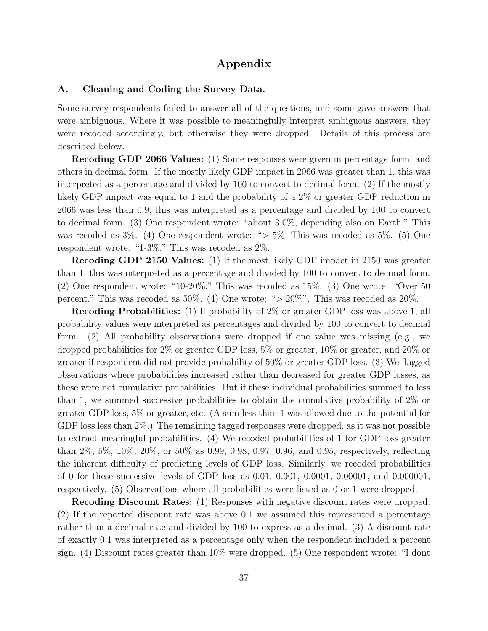## Appendix

#### A. Cleaning and Coding the Survey Data.

Some survey respondents failed to answer all of the questions, and some gave answers that were ambiguous. Where it was possible to meaningfully interpret ambiguous answers, they were recoded accordingly, but otherwise they were dropped. Details of this process are described below.

Recoding GDP 2066 Values: (1) Some responses were given in percentage form, and others in decimal form. If the mostly likely GDP impact in 2066 was greater than 1, this was interpreted as a percentage and divided by 100 to convert to decimal form. (2) If the mostly likely GDP impact was equal to 1 and the probability of a 2% or greater GDP reduction in 2066 was less than 0.9, this was interpreted as a percentage and divided by 100 to convert to decimal form. (3) One respondent wrote: "about 3.0%, depending also on Earth." This was recoded as 3\%. (4) One respondent wrote: "> 5\%. This was recoded as 5\%. (5) One respondent wrote: "1-3%." This was recoded as 2%.

Recoding GDP 2150 Values: (1) If the most likely GDP impact in 2150 was greater than 1, this was interpreted as a percentage and divided by 100 to convert to decimal form. (2) One respondent wrote: "10-20%." This was recoded as 15%. (3) One wrote: "Over 50 percent." This was recoded as 50%. (4) One wrote: " $> 20\%$ ". This was recoded as 20%.

Recoding Probabilities: (1) If probability of 2\% or greater GDP loss was above 1, all probability values were interpreted as percentages and divided by 100 to convert to decimal form. (2) All probability observations were dropped if one value was missing (e.g., we dropped probabilities for 2% or greater GDP loss, 5% or greater, 10% or greater, and 20% or greater if respondent did not provide probability of 50% or greater GDP loss. (3) We flagged observations where probabilities increased rather than decreased for greater GDP losses, as these were not cumulative probabilities. But if these individual probabilities summed to less than 1, we summed successive probabilities to obtain the cumulative probability of 2% or greater GDP loss, 5% or greater, etc. (A sum less than 1 was allowed due to the potential for GDP loss less than 2%.) The remaining tagged responses were dropped, as it was not possible to extract meaningful probabilities. (4) We recoded probabilities of 1 for GDP loss greater than 2%, 5%, 10%, 20%, or 50% as 0.99, 0.98, 0.97, 0.96, and 0.95, respectively, reflecting the inherent difficulty of predicting levels of GDP loss. Similarly, we recoded probabilities of 0 for these successive levels of GDP loss as 0.01, 0.001, 0.0001, 0.00001, and 0.000001, respectively. (5) Observations where all probabilities were listed as 0 or 1 were dropped.

Recoding Discount Rates: (1) Responses with negative discount rates were dropped. (2) If the reported discount rate was above 0.1 we assumed this represented a percentage rather than a decimal rate and divided by 100 to express as a decimal. (3) A discount rate of exactly 0.1 was interpreted as a percentage only when the respondent included a percent sign. (4) Discount rates greater than 10% were dropped. (5) One respondent wrote: "I dont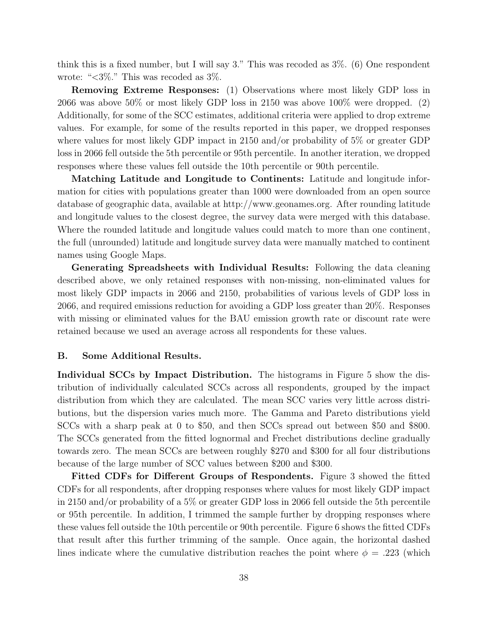think this is a fixed number, but I will say 3." This was recoded as 3%. (6) One respondent wrote: "<3%." This was recoded as 3%.

Removing Extreme Responses: (1) Observations where most likely GDP loss in 2066 was above 50% or most likely GDP loss in 2150 was above 100% were dropped. (2) Additionally, for some of the SCC estimates, additional criteria were applied to drop extreme values. For example, for some of the results reported in this paper, we dropped responses where values for most likely GDP impact in 2150 and/or probability of 5% or greater GDP loss in 2066 fell outside the 5th percentile or 95th percentile. In another iteration, we dropped responses where these values fell outside the 10th percentile or 90th percentile.

Matching Latitude and Longitude to Continents: Latitude and longitude information for cities with populations greater than 1000 were downloaded from an open source database of geographic data, available at http://www.geonames.org. After rounding latitude and longitude values to the closest degree, the survey data were merged with this database. Where the rounded latitude and longitude values could match to more than one continent, the full (unrounded) latitude and longitude survey data were manually matched to continent names using Google Maps.

Generating Spreadsheets with Individual Results: Following the data cleaning described above, we only retained responses with non-missing, non-eliminated values for most likely GDP impacts in 2066 and 2150, probabilities of various levels of GDP loss in 2066, and required emissions reduction for avoiding a GDP loss greater than 20%. Responses with missing or eliminated values for the BAU emission growth rate or discount rate were retained because we used an average across all respondents for these values.

#### B. Some Additional Results.

Individual SCCs by Impact Distribution. The histograms in Figure 5 show the distribution of individually calculated SCCs across all respondents, grouped by the impact distribution from which they are calculated. The mean SCC varies very little across distributions, but the dispersion varies much more. The Gamma and Pareto distributions yield SCCs with a sharp peak at 0 to \$50, and then SCCs spread out between \$50 and \$800. The SCCs generated from the fitted lognormal and Frechet distributions decline gradually towards zero. The mean SCCs are between roughly \$270 and \$300 for all four distributions because of the large number of SCC values between \$200 and \$300.

Fitted CDFs for Different Groups of Respondents. Figure 3 showed the fitted CDFs for all respondents, after dropping responses where values for most likely GDP impact in 2150 and/or probability of a 5% or greater GDP loss in 2066 fell outside the 5th percentile or 95th percentile. In addition, I trimmed the sample further by dropping responses where these values fell outside the 10th percentile or 90th percentile. Figure 6 shows the fitted CDFs that result after this further trimming of the sample. Once again, the horizontal dashed lines indicate where the cumulative distribution reaches the point where  $\phi = .223$  (which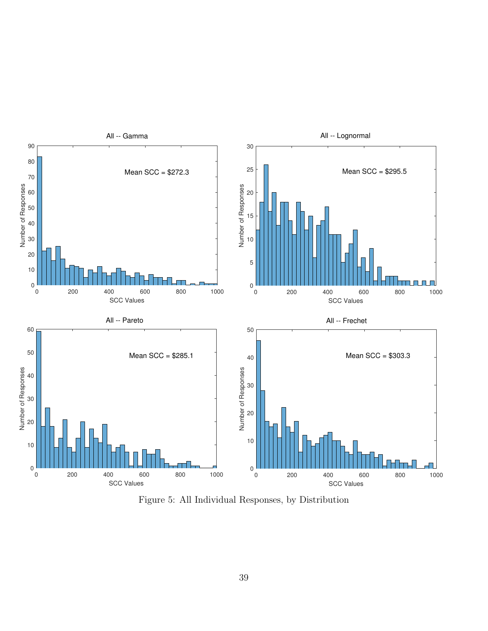

Figure 5: All Individual Responses, by Distribution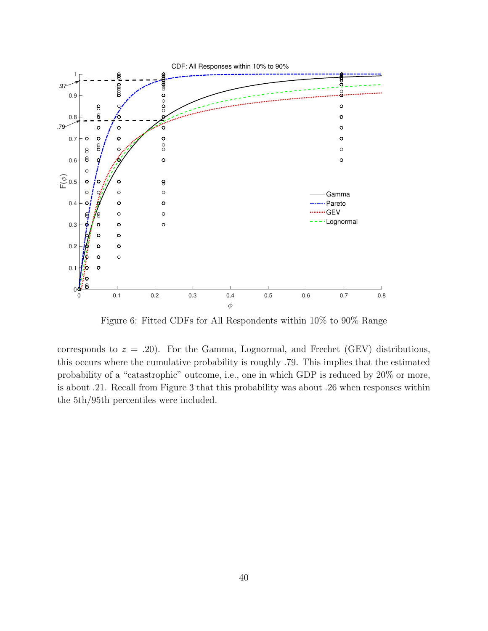

Figure 6: Fitted CDFs for All Respondents within 10% to 90% Range

corresponds to  $z = .20$ ). For the Gamma, Lognormal, and Frechet (GEV) distributions, this occurs where the cumulative probability is roughly .79. This implies that the estimated probability of a "catastrophic" outcome, i.e., one in which GDP is reduced by 20% or more, is about .21. Recall from Figure 3 that this probability was about .26 when responses within the 5th/95th percentiles were included.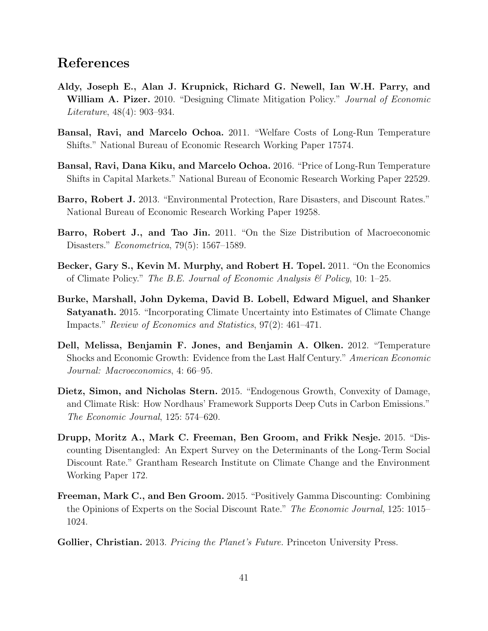## References

- Aldy, Joseph E., Alan J. Krupnick, Richard G. Newell, Ian W.H. Parry, and William A. Pizer. 2010. "Designing Climate Mitigation Policy." Journal of Economic Literature, 48(4): 903–934.
- Bansal, Ravi, and Marcelo Ochoa. 2011. "Welfare Costs of Long-Run Temperature Shifts." National Bureau of Economic Research Working Paper 17574.
- Bansal, Ravi, Dana Kiku, and Marcelo Ochoa. 2016. "Price of Long-Run Temperature Shifts in Capital Markets." National Bureau of Economic Research Working Paper 22529.
- Barro, Robert J. 2013. "Environmental Protection, Rare Disasters, and Discount Rates." National Bureau of Economic Research Working Paper 19258.
- Barro, Robert J., and Tao Jin. 2011. "On the Size Distribution of Macroeconomic Disasters." Econometrica, 79(5): 1567–1589.
- Becker, Gary S., Kevin M. Murphy, and Robert H. Topel. 2011. "On the Economics of Climate Policy." The B.E. Journal of Economic Analysis  $\mathcal{C}_{P}$  Policy, 10: 1–25.
- Burke, Marshall, John Dykema, David B. Lobell, Edward Miguel, and Shanker Satyanath. 2015. "Incorporating Climate Uncertainty into Estimates of Climate Change Impacts." Review of Economics and Statistics, 97(2): 461–471.
- Dell, Melissa, Benjamin F. Jones, and Benjamin A. Olken. 2012. "Temperature Shocks and Economic Growth: Evidence from the Last Half Century." American Economic Journal: Macroeconomics, 4: 66–95.
- Dietz, Simon, and Nicholas Stern. 2015. "Endogenous Growth, Convexity of Damage, and Climate Risk: How Nordhaus' Framework Supports Deep Cuts in Carbon Emissions." The Economic Journal, 125: 574–620.
- Drupp, Moritz A., Mark C. Freeman, Ben Groom, and Frikk Nesje. 2015. "Discounting Disentangled: An Expert Survey on the Determinants of the Long-Term Social Discount Rate." Grantham Research Institute on Climate Change and the Environment Working Paper 172.
- Freeman, Mark C., and Ben Groom. 2015. "Positively Gamma Discounting: Combining the Opinions of Experts on the Social Discount Rate." The Economic Journal, 125: 1015– 1024.
- Gollier, Christian. 2013. *Pricing the Planet's Future*. Princeton University Press.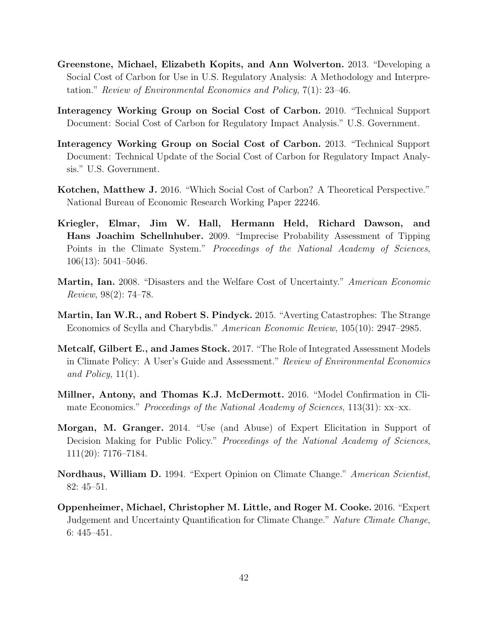- Greenstone, Michael, Elizabeth Kopits, and Ann Wolverton. 2013. "Developing a Social Cost of Carbon for Use in U.S. Regulatory Analysis: A Methodology and Interpretation." Review of Environmental Economics and Policy, 7(1): 23–46.
- Interagency Working Group on Social Cost of Carbon. 2010. "Technical Support Document: Social Cost of Carbon for Regulatory Impact Analysis." U.S. Government.
- Interagency Working Group on Social Cost of Carbon. 2013. "Technical Support Document: Technical Update of the Social Cost of Carbon for Regulatory Impact Analysis." U.S. Government.
- Kotchen, Matthew J. 2016. "Which Social Cost of Carbon? A Theoretical Perspective." National Bureau of Economic Research Working Paper 22246.
- Kriegler, Elmar, Jim W. Hall, Hermann Held, Richard Dawson, and Hans Joachim Schellnhuber. 2009. "Imprecise Probability Assessment of Tipping Points in the Climate System." Proceedings of the National Academy of Sciences, 106(13): 5041–5046.
- Martin, Ian. 2008. "Disasters and the Welfare Cost of Uncertainty." American Economic Review, 98(2): 74–78.
- Martin, Ian W.R., and Robert S. Pindyck. 2015. "Averting Catastrophes: The Strange Economics of Scylla and Charybdis." American Economic Review, 105(10): 2947–2985.
- Metcalf, Gilbert E., and James Stock. 2017. "The Role of Integrated Assessment Models in Climate Policy: A User's Guide and Assessment." Review of Environmental Economics and Policy,  $11(1)$ .
- Millner, Antony, and Thomas K.J. McDermott. 2016. "Model Confirmation in Climate Economics." Proceedings of the National Academy of Sciences, 113(31): xx–xx.
- Morgan, M. Granger. 2014. "Use (and Abuse) of Expert Elicitation in Support of Decision Making for Public Policy." *Proceedings of the National Academy of Sciences*, 111(20): 7176–7184.
- Nordhaus, William D. 1994. "Expert Opinion on Climate Change." American Scientist, 82: 45–51.
- Oppenheimer, Michael, Christopher M. Little, and Roger M. Cooke. 2016. "Expert Judgement and Uncertainty Quantification for Climate Change." Nature Climate Change, 6: 445–451.